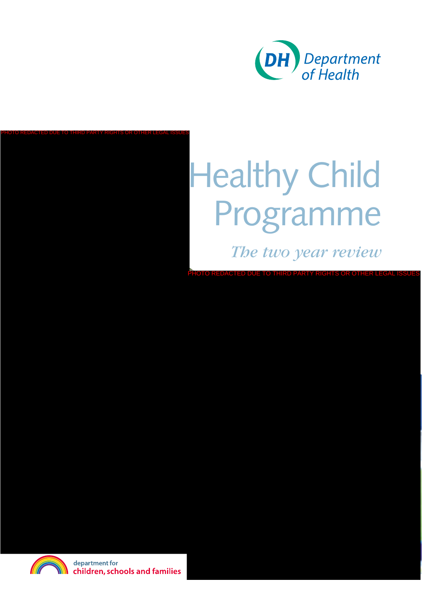



# Healthy Child Programme

*The two year review* 

department for children, schools and families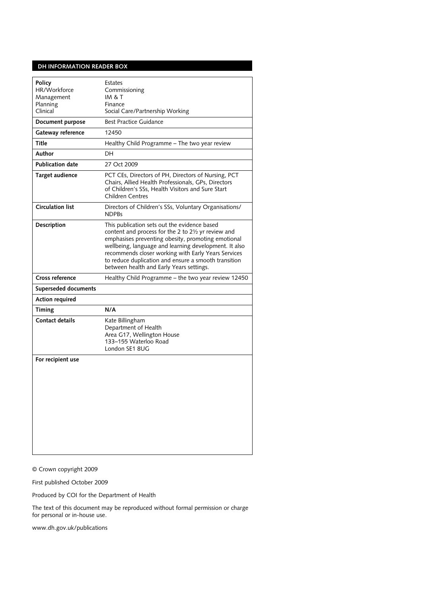#### **DH InformatIon reaDer BoX**

| Policy<br>HR/Workforce<br>Management<br>Planning | Estates<br>Commissioning<br>IM & T<br>Finance                                                                                                                                                                                                                                                                                                                                           |
|--------------------------------------------------|-----------------------------------------------------------------------------------------------------------------------------------------------------------------------------------------------------------------------------------------------------------------------------------------------------------------------------------------------------------------------------------------|
| Clinical                                         | Social Care/Partnership Working                                                                                                                                                                                                                                                                                                                                                         |
| Document purpose                                 | <b>Best Practice Guidance</b>                                                                                                                                                                                                                                                                                                                                                           |
| Gateway reference                                | 12450                                                                                                                                                                                                                                                                                                                                                                                   |
| Title                                            | Healthy Child Programme - The two year review                                                                                                                                                                                                                                                                                                                                           |
| Author                                           | DН                                                                                                                                                                                                                                                                                                                                                                                      |
| <b>Publication date</b>                          | 27 Oct 2009                                                                                                                                                                                                                                                                                                                                                                             |
| <b>Target audience</b>                           | PCT CEs, Directors of PH, Directors of Nursing, PCT<br>Chairs, Allied Health Professionals, GPs, Directors<br>of Children's SSs, Health Visitors and Sure Start<br><b>Children Centres</b>                                                                                                                                                                                              |
| <b>Circulation list</b>                          | Directors of Children's SSs, Voluntary Organisations/<br><b>NDPRs</b>                                                                                                                                                                                                                                                                                                                   |
| Description                                      | This publication sets out the evidence based<br>content and process for the 2 to $2\frac{1}{2}$ yr review and<br>emphasises preventing obesity, promoting emotional<br>wellbeing, language and learning development. It also<br>recommends closer working with Early Years Services<br>to reduce duplication and ensure a smooth transition<br>between health and Early Years settings. |
| <b>Cross reference</b>                           | Healthy Child Programme - the two year review 12450                                                                                                                                                                                                                                                                                                                                     |
| <b>Superseded documents</b>                      |                                                                                                                                                                                                                                                                                                                                                                                         |
| <b>Action required</b>                           |                                                                                                                                                                                                                                                                                                                                                                                         |
| Timing                                           | N/A                                                                                                                                                                                                                                                                                                                                                                                     |
| <b>Contact details</b>                           | Kate Billingham<br>Department of Health<br>Area G17, Wellington House<br>133-155 Waterloo Road<br>London SE1 8UG                                                                                                                                                                                                                                                                        |
| For recipient use                                |                                                                                                                                                                                                                                                                                                                                                                                         |

© Crown copyright 2009

First published October 2009

Produced by COI for the Department of Health

The text of this document may be reproduced without formal permission or charge for personal or in-house use.

www.dh.gov.uk/publications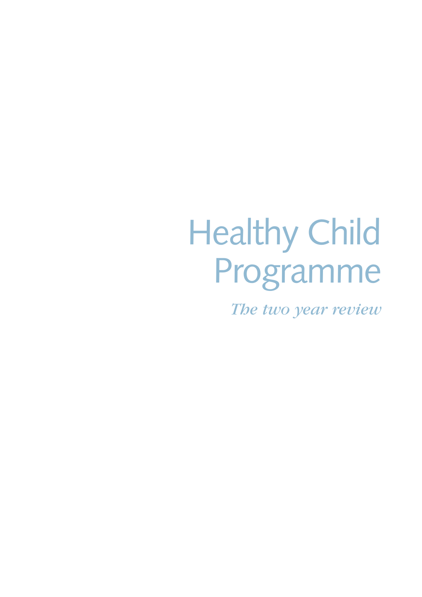# Healthy Child Programme

*The two year review*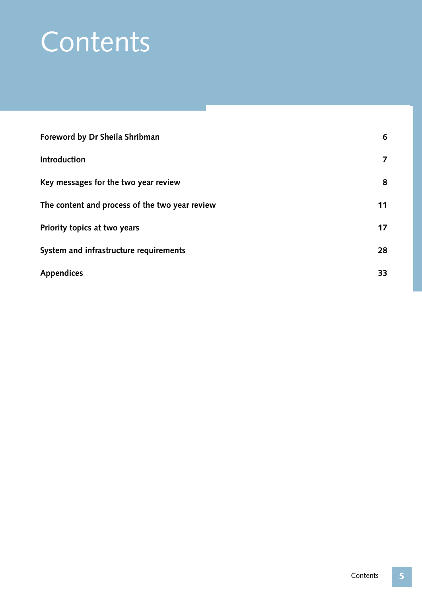# Contents

| Foreword by Dr Sheila Shribman                 | 6                       |
|------------------------------------------------|-------------------------|
| Introduction                                   | $\overline{\mathbf{z}}$ |
| Key messages for the two year review           | 8                       |
| The content and process of the two year review | 11                      |
| Priority topics at two years                   | 17                      |
| System and infrastructure requirements         | 28                      |
| <b>Appendices</b>                              | 33                      |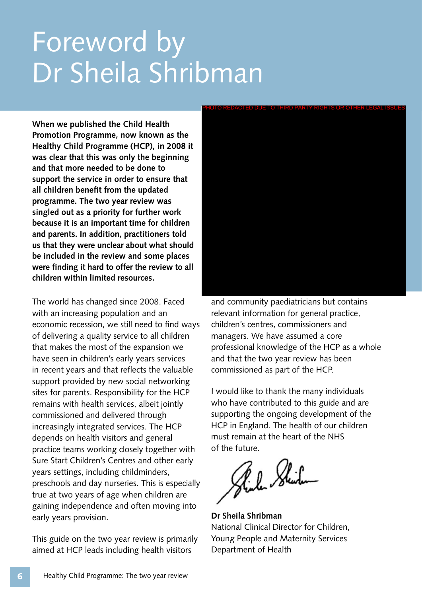# Foreword by Dr Sheila Shribman

**When we published the Child Health Promotion Programme, now known as the Healthy Child Programme (HCP), in 2008 it was clear that this was only the beginning and that more needed to be done to support the service in order to ensure that all children benefit from the updated programme. the two year review was singled out as a priority for further work because it is an important time for children and parents. In addition, practitioners told us that they were unclear about what should be included in the review and some places were finding it hard to offer the review to all children within limited resources.** 

The world has changed since 2008. Faced with an increasing population and an economic recession, we still need to find ways of delivering a quality service to all children that makes the most of the expansion we have seen in children's early years services in recent years and that reflects the valuable support provided by new social networking sites for parents. Responsibility for the HCP remains with health services, albeit jointly commissioned and delivered through increasingly integrated services. The HCP depends on health visitors and general practice teams working closely together with Sure Start Children's Centres and other early years settings, including childminders, preschools and day nurseries. This is especially true at two years of age when children are gaining independence and often moving into early years provision.

This guide on the two year review is primarily aimed at HCP leads including health visitors



and community paediatricians but contains relevant information for general practice, children's centres, commissioners and managers. We have assumed a core professional knowledge of the HCP as a whole and that the two year review has been commissioned as part of the HCP.

 of the future. I would like to thank the many individuals who have contributed to this guide and are supporting the ongoing development of the HCP in England. The health of our children must remain at the heart of the NHS

Richard Starten

**Dr Sheila Shribman**  National Clinical Director for Children, Young People and Maternity Services Department of Health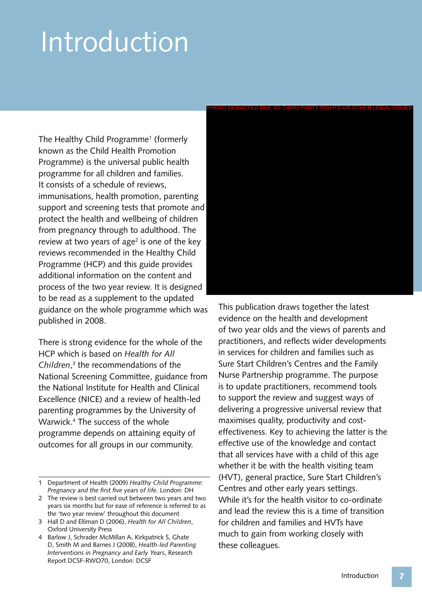# Introduction

The Healthy Child Programme<sup>1</sup> (formerly known as the Child Health Promotion Programme) is the universal public health programme for all children and families. It consists of a schedule of reviews, immunisations, health promotion, parenting support and screening tests that promote and protect the health and wellbeing of children from pregnancy through to adulthood. The review at two years of age<sup>2</sup> is one of the key reviews recommended in the Healthy Child Programme (HCP) and this guide provides additional information on the content and process of the two year review. It is designed to be read as a supplement to the updated guidance on the whole programme which was published in 2008.

There is strong evidence for the whole of the HCP which is based on *Health for All Children*, 3 the recommendations of the National Screening Committee, guidance from the National Institute for Health and Clinical Excellence (NICE) and a review of health-led parenting programmes by the University of Warwick.4 The success of the whole programme depends on attaining equity of outcomes for all groups in our community.

3 � Hall D and Elliman D (2006), *Health for All Children*, Oxford University Press



 much to gain from working closely with This publication draws together the latest evidence on the health and development of two year olds and the views of parents and practitioners, and reflects wider developments in services for children and families such as Sure Start Children's Centres and the Family Nurse Partnership programme. The purpose is to update practitioners, recommend tools to support the review and suggest ways of delivering a progressive universal review that maximises quality, productivity and costeffectiveness. Key to achieving the latter is the effective use of the knowledge and contact that all services have with a child of this age whether it be with the health visiting team (HVT), general practice, Sure Start Children's Centres and other early years settings. While it's for the health visitor to co-ordinate and lead the review this is a time of transition for children and families and HVTs have these colleagues.

<sup>1</sup> � Department of Health (2009) *Healthy Child Programme: Pregnancy and the first five years of life*. London: DH

<sup>2</sup> The review is best carried out between two years and two years six months but for ease of reference is referred to as the 'two year review' throughout this document

<sup>4</sup> Barlow J, Schrader McMillan A, Kirkpatrick S, Ghate D, Smith M and Barnes J (2008), *Health-led Parenting Interventions in Pregnancy and Early Years*, Research Report DCSF-RWO70, London: DCSF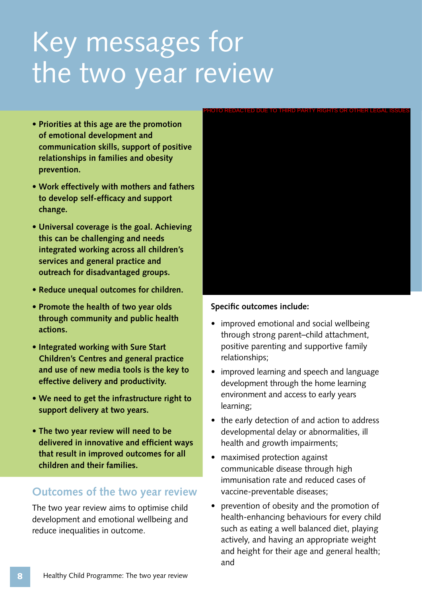# Key messages for the two year review

- **Priorities at this age are the promotion of emotional development and communication skills, support of positive relationships in families and obesity prevention.**
- **Work effectively with mothers and fathers to develop self-efficacy and support change.**
- **Universal coverage is the goal. achieving this can be challenging and needs integrated working across all children's services and general practice and outreach for disadvantaged groups.**
- **Reduce unequal outcomes for children.**
- **Promote the health of two year olds through community and public health actions.**
- **Integrated working with Sure Start Children's Centres and general practice and use of new media tools is the key to effective delivery and productivity.**
- **We need to get the infrastructure right to support delivery at two years.**
- **the two year review will need to be delivered in innovative and efficient ways that result in improved outcomes for all children and their families.**

### **outcomes of the two year review**

The two year review aims to optimise child development and emotional wellbeing and reduce inequalities in outcome.



#### **Specific outcomes include:**

- improved emotional and social wellbeing through strong parent–child attachment, positive parenting and supportive family relationships;
- improved learning and speech and language development through the home learning environment and access to early years learning;
- the early detection of and action to address developmental delay or abnormalities, ill health and growth impairments;
- maximised protection against communicable disease through high immunisation rate and reduced cases of vaccine-preventable diseases;
- prevention of obesity and the promotion of health-enhancing behaviours for every child such as eating a well balanced diet, playing actively, and having an appropriate weight and height for their age and general health; and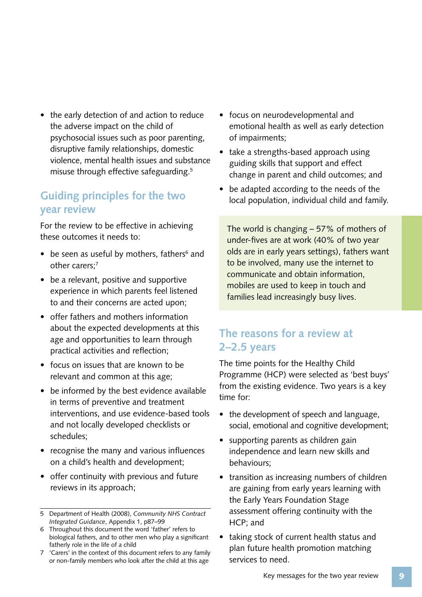• the early detection of and action to reduce the adverse impact on the child of psychosocial issues such as poor parenting, disruptive family relationships, domestic violence, mental health issues and substance misuse through effective safeguarding.5

# **Guiding principles for the two year review**

For the review to be effective in achieving these outcomes it needs to:

- $\bullet$  be seen as useful by mothers, fathers<sup>6</sup> and other carers;<sup>7</sup>
- be a relevant, positive and supportive experience in which parents feel listened to and their concerns are acted upon;
- offer fathers and mothers information about the expected developments at this age and opportunities to learn through practical activities and reflection;
- focus on issues that are known to be relevant and common at this age;
- be informed by the best evidence available in terms of preventive and treatment interventions, and use evidence-based tools and not locally developed checklists or schedules;
- recognise the many and various influences on a child's health and development;
- offer continuity with previous and future reviews in its approach;
- 5 � Department of Health (2008), *Community NHS Contract Integrated Guidance*, Appendix 1, p87–99
- 6 � Throughout this document the word 'father' refers to biological fathers, and to other men who play a significant fatherly role in the life of a child
- 7 'Carers' in the context of this document refers to any family or non-family members who look after the child at this age
- focus on neurodevelopmental and emotional health as well as early detection of impairments;
- take a strengths-based approach using guiding skills that support and effect change in parent and child outcomes; and
- be adapted according to the needs of the local population, individual child and family.

The world is changing – 57% of mothers of under-fives are at work (40% of two year olds are in early years settings), fathers want to be involved, many use the internet to communicate and obtain information, mobiles are used to keep in touch and families lead increasingly busy lives.

# **the reasons for a review at 2–2.5 years**

The time points for the Healthy Child Programme (HCP) were selected as 'best buys' from the existing evidence. Two years is a key time for:

- the development of speech and language, social, emotional and cognitive development;
- supporting parents as children gain independence and learn new skills and behaviours;
- transition as increasing numbers of children are gaining from early years learning with the Early Years Foundation Stage assessment offering continuity with the HCP; and
- taking stock of current health status and plan future health promotion matching services to need.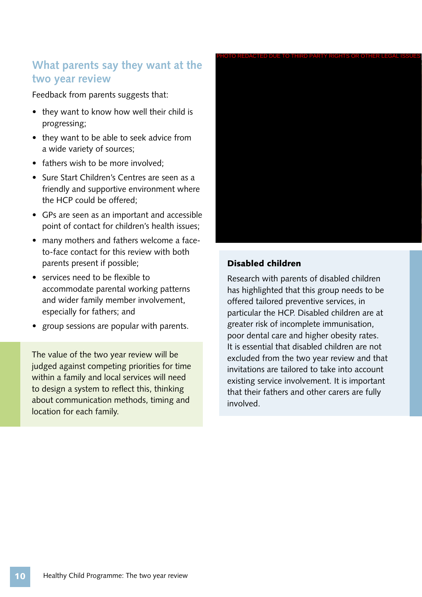# **What parents say they want at the two year review**

Feedback from parents suggests that:

- they want to know how well their child is progressing;
- they want to be able to seek advice from a wide variety of sources;
- fathers wish to be more involved:
- Sure Start Children's Centres are seen as a friendly and supportive environment where the HCP could be offered;
- GPs are seen as an important and accessible point of contact for children's health issues;
- many mothers and fathers welcome a faceto-face contact for this review with both parents present if possible;
- services need to be flexible to accommodate parental working patterns and wider family member involvement, especially for fathers; and
- group sessions are popular with parents.

The value of the two year review will be judged against competing priorities for time within a family and local services will need to design a system to reflect this, thinking about communication methods, timing and location for each family.



#### Disabled children

Research with parents of disabled children has highlighted that this group needs to be offered tailored preventive services, in particular the HCP. Disabled children are at greater risk of incomplete immunisation, poor dental care and higher obesity rates. It is essential that disabled children are not excluded from the two year review and that invitations are tailored to take into account existing service involvement. It is important that their fathers and other carers are fully involved.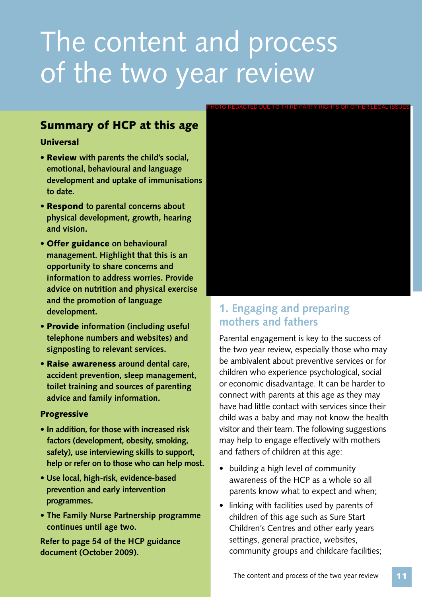# The content and process of the two year review

### Summary of HCP at this age

#### Universal

- Review **with parents the child's social, emotional, behavioural and language development and uptake of immunisations to date.**
- Respond **to parental concerns about physical development, growth, hearing and vision.**
- Offer guidance **on behavioural management. Highlight that this is an opportunity to share concerns and information to address worries. Provide advice on nutrition and physical exercise and the promotion of language development.**
- Provide **information (including useful telephone numbers and websites) and signposting to relevant services.**
- Raise awareness **around dental care, accident prevention, sleep management, toilet training and sources of parenting advice and family information.**

#### **Progressive**

- **In addition, for those with increased risk factors (development, obesity, smoking, safety), use interviewing skills to support, help or refer on to those who can help most.**
- **Use local, high-risk, evidence-based prevention and early intervention programmes.**
- **The Family Nurse Partnership programme continues until age two.**

**refer to page 54 of the HCP guidance**  document (October 2009).



# **1. engaging and preparing mothers and fathers**

 Parental engagement is key to the success of the two year review, especially those who may be ambivalent about preventive services or for children who experience psychological, social or economic disadvantage. It can be harder to connect with parents at this age as they may have had little contact with services since their child was a baby and may not know the health visitor and their team. The following suggestions may help to engage effectively with mothers and fathers of children at this age:

- building a high level of community awareness of the HCP as a whole so all parents know what to expect and when;
- linking with facilities used by parents of children of this age such as Sure Start Children's Centres and other early years settings, general practice, websites, community groups and childcare facilities;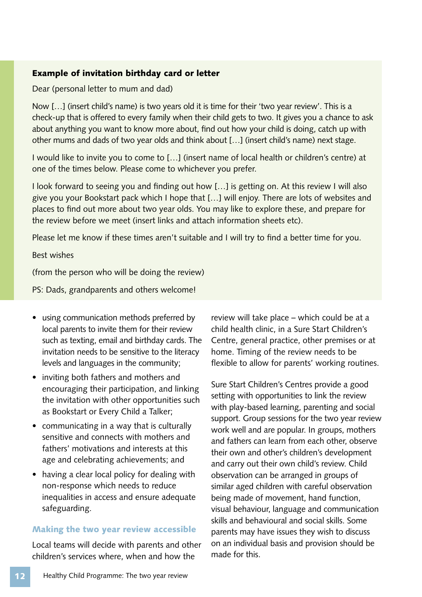#### Example of invitation birthday card or letter

Dear (personal letter to mum and dad)

 Now […] (insert child's name) is two years old it is time for their 'two year review'. This is a check-up that is offered to every family when their child gets to two. It gives you a chance to ask about anything you want to know more about, find out how your child is doing, catch up with other mums and dads of two year olds and think about […] (insert child's name) next stage.

I would like to invite you to come to […] (insert name of local health or children's centre) at one of the times below. Please come to whichever you prefer.

I look forward to seeing you and finding out how […] is getting on. At this review I will also give you your Bookstart pack which I hope that […] will enjoy. There are lots of websites and places to find out more about two year olds. You may like to explore these, and prepare for the review before we meet (insert links and attach information sheets etc).

Please let me know if these times aren't suitable and I will try to find a better time for you.

Best wishes

(from the person who will be doing the review)

PS: Dads, grandparents and others welcome!

- using communication methods preferred by review will take place which could be at a local parents to invite them for their review invitation needs to be sensitive to the literacy home. Timing of the review needs to be levels and languages in the community;
- 
- 
- inequalities in access and ensure adequate being made of movement, hand function,  $\bullet$  having a clear local policy for dealing with

#### Making the two year review accessible

Local teams will decide with parents and other children's services where, when and how the

 such as texting, email and birthday cards. The Centre, general practice, other premises or at child health clinic, in a Sure Start Children's flexible to allow for parents' working routines.

Sure Start Children's Centres provide a good setting with opportunities to link the review with play-based learning, parenting and social support. Group sessions for the two year review work well and are popular. In groups, mothers and fathers can learn from each other, observe their own and other's children's development and carry out their own child's review. Child observation can be arranged in groups of non-response which needs to reduce similar aged children with careful observation safeguarding. visual behaviour, language and communication skills and behavioural and social skills. Some parents may have issues they wish to discuss on an individual basis and provision should be made for this. • inviting both fathers and mothers and<br>
encouraging their participation, and linking<br>
the invitation with other opportunities such<br>
as Bookstart or Every Child a Talker;<br>
• communicating in a way that is culturally<br>
sensi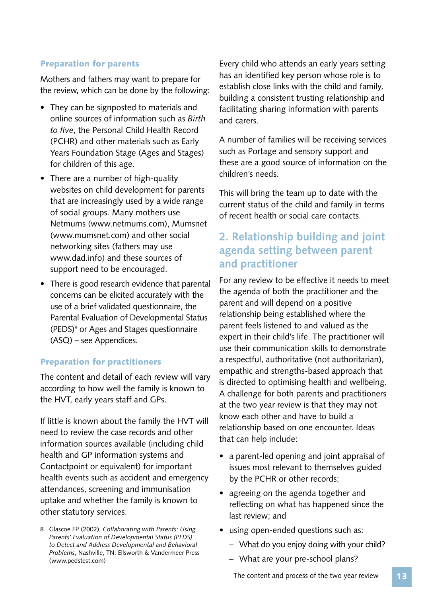#### Preparation for parents

 Mothers and fathers may want to prepare for the review, which can be done by the following:

- They can be signposted to materials and online sources of information such as *Birth to five*, the Personal Child Health Record (PCHR) and other materials such as Early Years Foundation Stage (Ages and Stages) for children of this age.
- There are a number of high-quality websites on child development for parents that are increasingly used by a wide range of social groups. Many mothers use Netmums (www.netmums.com), Mumsnet (www.mumsnet.com) and other social networking sites (fathers may use [www.dad.info](http://www.dad.info)) and these sources of support need to be encouraged.
- There is good research evidence that parental concerns can be elicited accurately with the use of a brief validated questionnaire, the Parental Evaluation of Developmental Status (PEDS)8 or Ages and Stages questionnaire (ASQ) – see Appendices.

#### Preparation for practitioners

The content and detail of each review will vary according to how well the family is known to the HVT, early years staff and GPs.

If little is known about the family the HVT will need to review the case records and other information sources available (including child health and GP information systems and Contactpoint or equivalent) for important health events such as accident and emergency attendances, screening and immunisation uptake and whether the family is known to other statutory services.

Every child who attends an early years setting has an identified key person whose role is to establish close links with the child and family, building a consistent trusting relationship and facilitating sharing information with parents and carers.

A number of families will be receiving services such as Portage and sensory support and these are a good source of information on the children's needs.

This will bring the team up to date with the current status of the child and family in terms of recent health or social care contacts.

# **2. Relationship building and joint agenda setting between parent and practitioner**

For any review to be effective it needs to meet the agenda of both the practitioner and the parent and will depend on a positive relationship being established where the parent feels listened to and valued as the expert in their child's life. The practitioner will use their communication skills to demonstrate a respectful, authoritative (not authoritarian), empathic and strengths-based approach that is directed to optimising health and wellbeing. A challenge for both parents and practitioners at the two year review is that they may not know each other and have to build a relationship based on one encounter. Ideas that can help include:

- a parent-led opening and joint appraisal of issues most relevant to themselves guided by the PCHR or other records;
- agreeing on the agenda together and reflecting on what has happened since the last review; and
- using open-ended questions such as:
	- – � What do you enjoy doing with your child?
	- What are your pre-school plans?

13

<sup>8</sup> � Glascoe FP (2002), *Collaborating with Parents: Using Parents' Evaluation of Developmental Status (PEDS) to Detect and Address Developmental and Behavioral Problems*, Nashville, TN: Ellsworth & Vandermeer Press (www.pedstest.com)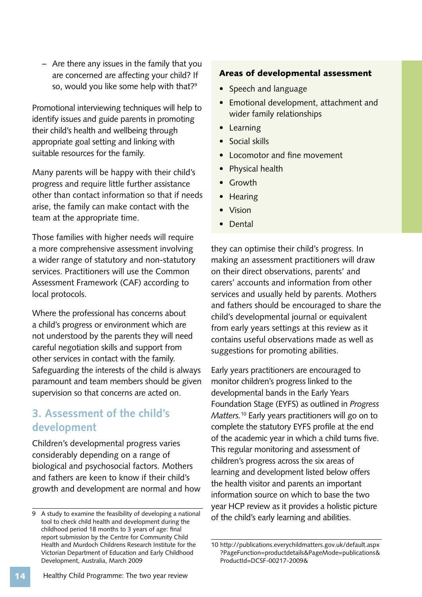– � Are there any issues in the family that you are concerned are affecting your child? If so, would you like some help with that? $9$ 

 Promotional interviewing techniques will help to identify issues and guide parents in promoting their child's health and wellbeing through appropriate goal setting and linking with suitable resources for the family.

Many parents will be happy with their child's progress and require little further assistance other than contact information so that if needs arise, the family can make contact with the team at the appropriate time.

Those families with higher needs will require a more comprehensive assessment involving a wider range of statutory and non-statutory services. Practitioners will use the Common Assessment Framework (CAF) according to local protocols.

 Where the professional has concerns about a child's progress or environment which are not understood by the parents they will need careful negotiation skills and support from other services in contact with the family. Safeguarding the interests of the child is always paramount and team members should be given supervision so that concerns are acted on.

# **3. assessment of the child's development**

Children's developmental progress varies considerably depending on a range of biological and psychosocial factors. Mothers and fathers are keen to know if their child's growth and development are normal and how

#### Areas of developmental assessment

- Speech and language
- Emotional development, attachment and wider family relationships
- Learning
- Social skills
- Locomotor and fine movement
- Physical health
- Growth
- Hearing
- Vision
- Dental

they can optimise their child's progress. In making an assessment practitioners will draw on their direct observations, parents' and carers' accounts and information from other services and usually held by parents. Mothers and fathers should be encouraged to share the child's developmental journal or equivalent from early years settings at this review as it contains useful observations made as well as suggestions for promoting abilities.

 Early years practitioners are encouraged to monitor children's progress linked to the developmental bands in the Early Years Foundation Stage (EYFS) as outlined in *Progress Matters.*10 Early years practitioners will go on to complete the statutory EYFS profile at the end of the academic year in which a child turns five. This regular monitoring and assessment of children's progress across the six areas of learning and development listed below offers the health visitor and parents an important information source on which to base the two year HCP review as it provides a holistic picture of the child's early learning and abilities.

<sup>9</sup> A study to examine the feasibility of developing a national tool to check child health and development during the childhood period 18 months to 3 years of age: final report submission by the Centre for Community Child Health and Murdoch Childrens Research Institute for the Victorian Department of Education and Early Childhood Development, Australia, March 2009

<sup>10</sup> http://publications.everychildmatters.gov.uk/default.aspx ?PageFunction=productdetails&PageMode=publications& ProductId=DCSF-00217-2009&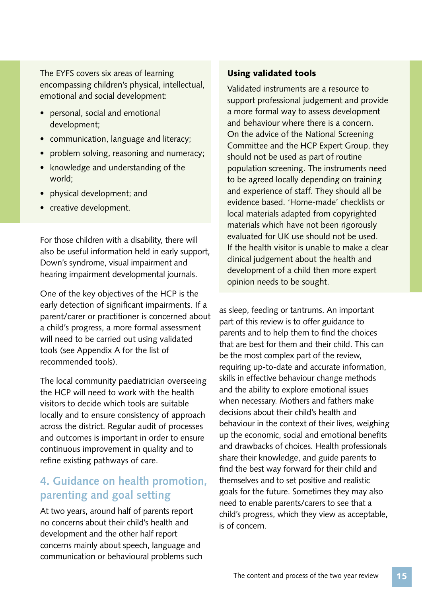The EYFS covers six areas of learning encompassing children's physical, intellectual, emotional and social development:

- personal, social and emotional development;
- communication, language and literacy;
- problem solving, reasoning and numeracy;
- knowledge and understanding of the world;
- physical development; and
- creative development.

 For those children with a disability, there will also be useful information held in early support, Down's syndrome, visual impairment and hearing impairment developmental journals.

One of the key objectives of the HCP is the early detection of significant impairments. If a parent/carer or practitioner is concerned about a child's progress, a more formal assessment will need to be carried out using validated tools (see Appendix A for the list of recommended tools).

The local community paediatrician overseeing the HCP will need to work with the health visitors to decide which tools are suitable locally and to ensure consistency of approach across the district. Regular audit of processes and outcomes is important in order to ensure continuous improvement in quality and to refine existing pathways of care.

### **4. Guidance on health promotion, parenting and goal setting**

 At two years, around half of parents report no concerns about their child's health and development and the other half report concerns mainly about speech, language and communication or behavioural problems such

#### Using validated tools

Validated instruments are a resource to support professional judgement and provide a more formal way to assess development and behaviour where there is a concern. On the advice of the National Screening Committee and the HCP Expert Group, they should not be used as part of routine population screening. The instruments need to be agreed locally depending on training and experience of staff. They should all be evidence based. 'Home-made' checklists or local materials adapted from copyrighted materials which have not been rigorously evaluated for UK use should not be used. If the health visitor is unable to make a clear clinical judgement about the health and development of a child then more expert opinion needs to be sought.

 as sleep, feeding or tantrums. An important part of this review is to offer guidance to parents and to help them to find the choices that are best for them and their child. This can be the most complex part of the review, requiring up-to-date and accurate information, skills in effective behaviour change methods and the ability to explore emotional issues when necessary. Mothers and fathers make decisions about their child's health and behaviour in the context of their lives, weighing up the economic, social and emotional benefits and drawbacks of choices. Health professionals share their knowledge, and guide parents to find the best way forward for their child and themselves and to set positive and realistic goals for the future. Sometimes they may also need to enable parents/carers to see that a child's progress, which they view as acceptable, is of concern.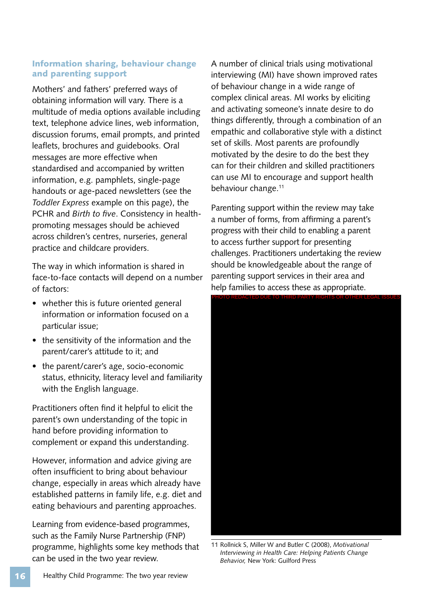#### Information sharing, behaviour change and parenting support

Mothers' and fathers' preferred ways of obtaining information will vary. There is a multitude of media options available including text, telephone advice lines, web information, discussion forums, email prompts, and printed leaflets, brochures and guidebooks. Oral messages are more effective when standardised and accompanied by written information, e.g. pamphlets, single-page handouts or age-paced newsletters (see the *Toddler Express* example on this page), the PCHR and *Birth to five*. Consistency in healthpromoting messages should be achieved across children's centres, nurseries, general practice and childcare providers.

The way in which information is shared in face-to-face contacts will depend on a number of factors:

- whether this is future oriented general information or information focused on a particular issue;
- the sensitivity of the information and the parent/carer's attitude to it; and
- the parent/carer's age, socio-economic status, ethnicity, literacy level and familiarity with the English language.

Practitioners often find it helpful to elicit the parent's own understanding of the topic in hand before providing information to complement or expand this understanding.

However, information and advice giving are often insufficient to bring about behaviour change, especially in areas which already have established patterns in family life, e.g. diet and eating behaviours and parenting approaches.

 Learning from evidence-based programmes, such as the Family Nurse Partnership (FNP) programme, highlights some key methods that can be used in the two year review.

A number of clinical trials using motivational interviewing (MI) have shown improved rates of behaviour change in a wide range of complex clinical areas. MI works by eliciting and activating someone's innate desire to do things differently, through a combination of an empathic and collaborative style with a distinct set of skills. Most parents are profoundly motivated by the desire to do the best they can for their children and skilled practitioners can use MI to encourage and support health behaviour change.11

 Parenting support within the review may take a number of forms, from affirming a parent's progress with their child to enabling a parent to access further support for presenting challenges. Practitioners undertaking the review should be knowledgeable about the range of parenting support services in their area and help families to access these as appropriate.



11 Rollnick S, Miller W and Butler C (2008), *Motivational Interviewing in Health Care: Helping Patients Change Behavior,* New York: Guilford Press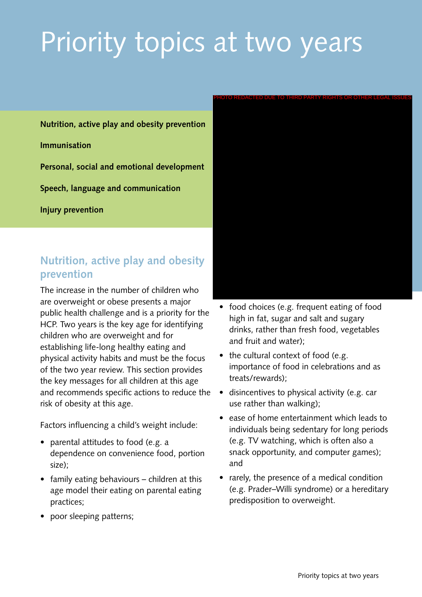# Priority topics at two years

**nutrition, active play and obesity prevention** 

**Immunisation** 

**Personal, social and emotional development** 

**Speech, language and communication** 

**Injury prevention** 

# **nutrition, active play and obesity prevention**

The increase in the number of children who are overweight or obese presents a major public health challenge and is a priority for the HCP. Two years is the key age for identifying children who are overweight and for establishing life-long healthy eating and physical activity habits and must be the focus of the two year review. This section provides the key messages for all children at this age and recommends specific actions to reduce the risk of obesity at this age.

Factors influencing a child's weight include:

- parental attitudes to food (e.g. a dependence on convenience food, portion size);
- family eating behaviours children at this age model their eating on parental eating practices;
- poor sleeping patterns;



- food choices (e.g. frequent eating of food high in fat, sugar and salt and sugary drinks, rather than fresh food, vegetables and fruit and water);
- the cultural context of food (e.g. importance of food in celebrations and as treats/rewards);
- disincentives to physical activity (e.g. car use rather than walking);
- ease of home entertainment which leads to individuals being sedentary for long periods (e.g. TV watching, which is often also a snack opportunity, and computer games); and
- rarely, the presence of a medical condition (e.g. Prader–Willi syndrome) or a hereditary predisposition to overweight.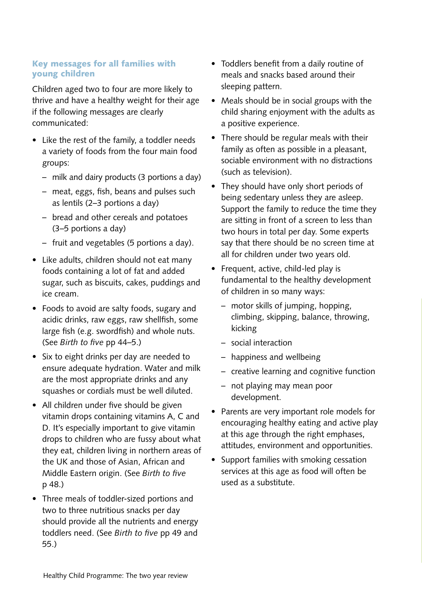#### Key messages for all families with young children

Children aged two to four are more likely to thrive and have a healthy weight for their age if the following messages are clearly communicated:

- Like the rest of the family, a toddler needs a variety of foods from the four main food groups:
	- milk and dairy products (3 portions a day)
	- $-$  meat, eggs, fish, beans and pulses such as lentils (2–3 portions a day)
	- bread and other cereals and potatoes (3–5 portions a day)
	- $-$  fruit and vegetables (5 portions a day).
- Like adults, children should not eat many foods containing a lot of fat and added sugar, such as biscuits, cakes, puddings and ice cream.
- Foods to avoid are salty foods, sugary and acidic drinks, raw eggs, raw shellfish, some large fish (e.g. swordfish) and whole nuts. (See *Birth to five* pp 44–5.)
- Six to eight drinks per day are needed to ensure adequate hydration. Water and milk are the most appropriate drinks and any squashes or cordials must be well diluted.
- All children under five should be given vitamin drops containing vitamins A, C and D. It's especially important to give vitamin drops to children who are fussy about what they eat, children living in northern areas of the UK and those of Asian, African and Middle Eastern origin. (See *Birth to five*  p 48.)
- Three meals of toddler-sized portions and two to three nutritious snacks per day should provide all the nutrients and energy toddlers need. (See *Birth to five* pp 49 and 55.)
- Toddlers benefit from a daily routine of meals and snacks based around their sleeping pattern.
- Meals should be in social groups with the child sharing enjoyment with the adults as a positive experience.
- There should be regular meals with their family as often as possible in a pleasant, sociable environment with no distractions (such as television).
- They should have only short periods of being sedentary unless they are asleep. Support the family to reduce the time they are sitting in front of a screen to less than two hours in total per day. Some experts say that there should be no screen time at all for children under two years old.
- Frequent, active, child-led play is fundamental to the healthy development of children in so many ways:
	- – � motor skills of jumping, hopping, climbing, skipping, balance, throwing, kicking
	- – �social interaction
	- happiness and wellbeing
	- – � creative learning and cognitive function
	- not playing may mean poor development.
- Parents are very important role models for encouraging healthy eating and active play at this age through the right emphases, attitudes, environment and opportunities.
- Support families with smoking cessation services at this age as food will often be used as a substitute.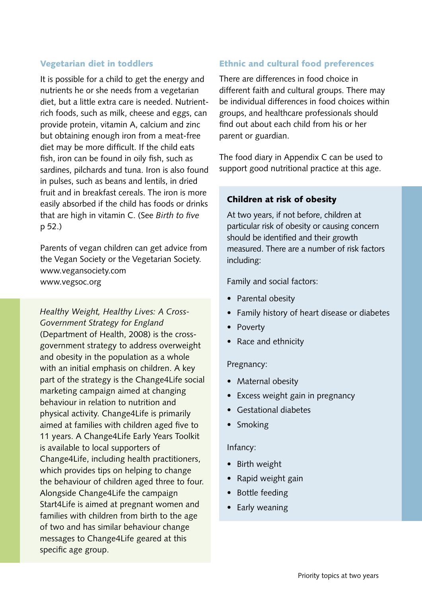#### Vegetarian diet in toddlers

It is possible for a child to get the energy and nutrients he or she needs from a vegetarian diet, but a little extra care is needed. Nutrientrich foods, such as milk, cheese and eggs, can provide protein, vitamin A, calcium and zinc but obtaining enough iron from a meat-free diet may be more difficult. If the child eats fish, iron can be found in oily fish, such as sardines, pilchards and tuna. Iron is also found in pulses, such as beans and lentils, in dried fruit and in breakfast cereals. The iron is more easily absorbed if the child has foods or drinks that are high in vitamin C. (See *Birth to five*  p 52.)

Parents of vegan children can get advice from the Vegan Society or the Vegetarian Society. www.vegansociety.com www.vegsoc.org

 *Healthy Weight, Healthy Lives: A Cross- Government Strategy for England*  (Department of Health, 2008) is the cross- government strategy to address overweight and obesity in the population as a whole with an initial emphasis on children. A key part of the strategy is the Change4Life social marketing campaign aimed at changing behaviour in relation to nutrition and physical activity. Change4Life is primarily aimed at families with children aged five to 11 years. A Change4Life Early Years Toolkit is available to local supporters of Change4Life, including health practitioners, which provides tips on helping to change the behaviour of children aged three to four. Alongside Change4Life the campaign Start4Life is aimed at pregnant women and families with children from birth to the age of two and has similar behaviour change messages to Change4Life geared at this specific age group.

#### Ethnic and cultural food preferences

There are differences in food choice in different faith and cultural groups. There may be individual differences in food choices within groups, and healthcare professionals should find out about each child from his or her parent or guardian.

The food diary in Appendix C can be used to support good nutritional practice at this age.

#### Children at risk of obesity

 At two years, if not before, children at particular risk of obesity or causing concern should be identified and their growth measured. There are a number of risk factors including:

Family and social factors:

- Parental obesity
- Family history of heart disease or diabetes
- Poverty
- Race and ethnicity

#### Pregnancy:

- Maternal obesity
- Excess weight gain in pregnancy
- Gestational diabetes
- Smoking

#### Infancy:

- Birth weight
- Rapid weight gain
- Bottle feeding
- Early weaning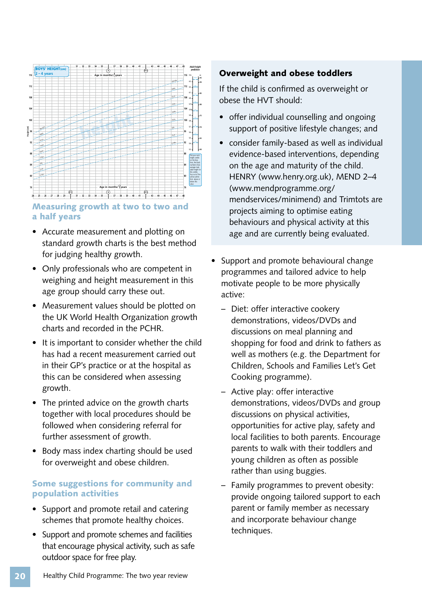

Measuring growth at two to two and a half years

- Accurate measurement and plotting on standard growth charts is the best method for judging healthy growth.
- Only professionals who are competent in weighing and height measurement in this age group should carry these out.
- Measurement values should be plotted on the UK World Health Organization growth charts and recorded in the PCHR.
- It is important to consider whether the child has had a recent measurement carried out in their GP's practice or at the hospital as this can be considered when assessing growth.
- The printed advice on the growth charts together with local procedures should be followed when considering referral for further assessment of growth.
- Body mass index charting should be used for overweight and obese children.

#### Some suggestions for community and population activities

- Support and promote retail and catering schemes that promote healthy choices.
- Support and promote schemes and facilities that encourage physical activity, such as safe outdoor space for free play.

### Overweight and obese toddlers

If the child is confirmed as overweight or obese the HVT should:

- offer individual counselling and ongoing support of positive lifestyle changes; and
- consider family-based as well as individual evidence-based interventions, depending on the age and maturity of the child. HENRY (www.henry.org.uk), MEND 2–4 (www.mendprogramme.org/ mendservices/minimend) and Trimtots are projects aiming to optimise eating behaviours and physical activity at this age and are currently being evaluated.
- Support and promote behavioural change programmes and tailored advice to help motivate people to be more physically active:
	- – � Diet: offer interactive cookery demonstrations, videos/DVDs and discussions on meal planning and shopping for food and drink to fathers as well as mothers (e.g. the Department for Children, Schools and Families Let's Get Cooking programme).
	- – � Active play: offer interactive demonstrations, videos/DVDs and group discussions on physical activities, opportunities for active play, safety and local facilities to both parents. Encourage parents to walk with their toddlers and young children as often as possible rather than using buggies.
	- Family programmes to prevent obesity: provide ongoing tailored support to each parent or family member as necessary and incorporate behaviour change techniques.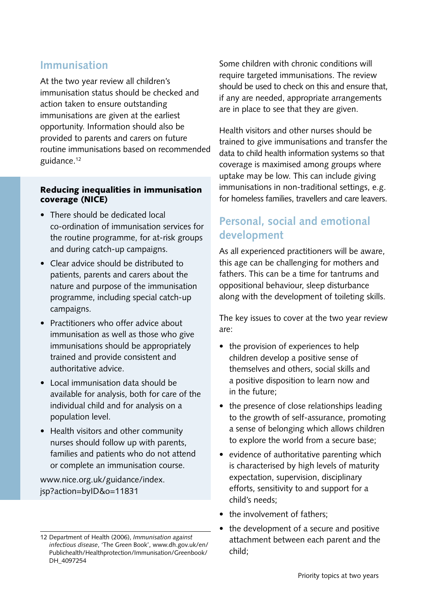### **Immunisation**

At the two year review all children's immunisation status should be checked and action taken to ensure outstanding immunisations are given at the earliest opportunity. Information should also be provided to parents and carers on future routine immunisations based on recommended guidance.12

#### Reducing inequalities in immunisation coverage (NICE)

- There should be dedicated local co-ordination of immunisation services for the routine programme, for at-risk groups and during catch-up campaigns.
- Clear advice should be distributed to patients, parents and carers about the nature and purpose of the immunisation programme, including special catch-up campaigns.
- Practitioners who offer advice about immunisation as well as those who give immunisations should be appropriately trained and provide consistent and authoritative advice.
- Local immunisation data should be available for analysis, both for care of the individual child and for analysis on a population level.
- Health visitors and other community nurses should follow up with parents, families and patients who do not attend or complete an immunisation course.

www.nice.org.uk/guidance/index. jsp?action=byID&o=11831

 should be used to check on this and ensure that, Some children with chronic conditions will require targeted immunisations. The review if any are needed, appropriate arrangements are in place to see that they are given.

 data to child health information systems so that for homeless families, travellers and care leavers. Health visitors and other nurses should be trained to give immunisations and transfer the coverage is maximised among groups where uptake may be low. This can include giving immunisations in non-traditional settings, e.g.

# **Personal, social and emotional development**

As all experienced practitioners will be aware, this age can be challenging for mothers and fathers. This can be a time for tantrums and oppositional behaviour, sleep disturbance along with the development of toileting skills.

The key issues to cover at the two year review are:

- the provision of experiences to help children develop a positive sense of themselves and others, social skills and a positive disposition to learn now and in the future;
- the presence of close relationships leading to the growth of self-assurance, promoting a sense of belonging which allows children to explore the world from a secure base;
- evidence of authoritative parenting which is characterised by high levels of maturity expectation, supervision, disciplinary efforts, sensitivity to and support for a child's needs;
- the involvement of fathers;
- the development of a secure and positive attachment between each parent and the child;

<sup>12</sup> Department of Health (2006), *Immunisation against infectious disease*, 'The Green Book', www.dh.gov.uk/en/ Publichealth/Healthprotection/Immunisation/Greenbook/ DH\_4097254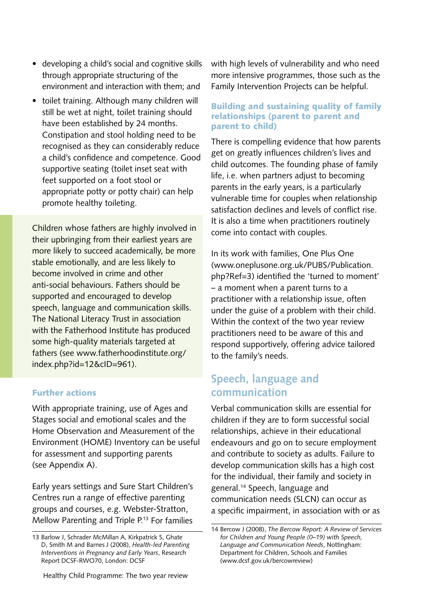- developing a child's social and cognitive skills through appropriate structuring of the environment and interaction with them; and
- toilet training. Although many children will still be wet at night, toilet training should have been established by 24 months. Constipation and stool holding need to be recognised as they can considerably reduce a child's confidence and competence. Good supportive seating (toilet inset seat with feet supported on a foot stool or appropriate potty or potty chair) can help promote healthy toileting.

Children whose fathers are highly involved in their upbringing from their earliest years are more likely to succeed academically, be more stable emotionally, and are less likely to become involved in crime and other anti-social behaviours. Fathers should be supported and encouraged to develop speech, language and communication skills. The National Literacy Trust in association with the Fatherhood Institute has produced some high-quality materials targeted at fathers (see www.fatherhoodinstitute.org/ index.php?id=12&cID=961).

#### Further actions

With appropriate training, use of Ages and Stages social and emotional scales and the Home Observation and Measurement of the Environment (HOME) Inventory can be useful for assessment and supporting parents (see Appendix A).

Early years settings and Sure Start Children's Centres run a range of effective parenting groups and courses, e.g. Webster-Stratton, Mellow Parenting and Triple P.<sup>13</sup> For families with high levels of vulnerability and who need more intensive programmes, those such as the Family Intervention Projects can be helpful.

#### Building and sustaining quality of family relationships (parent to parent and parent to child)

There is compelling evidence that how parents get on greatly influences children's lives and child outcomes. The founding phase of family life, i.e. when partners adjust to becoming parents in the early years, is a particularly vulnerable time for couples when relationship satisfaction declines and levels of conflict rise. It is also a time when practitioners routinely come into contact with couples.

In its work with families, One Plus One (www.oneplusone.org.uk/PUBS/Publication. php?Ref=3) identified the 'turned to moment' – a moment when a parent turns to a practitioner with a relationship issue, often under the guise of a problem with their child. Within the context of the two year review practitioners need to be aware of this and respond supportively, offering advice tailored to the family's needs.

## **Speech, language and communication**

Verbal communication skills are essential for children if they are to form successful social relationships, achieve in their educational endeavours and go on to secure employment and contribute to society as adults. Failure to develop communication skills has a high cost for the individual, their family and society in general.14 Speech, language and communication needs (SLCN) can occur as a specific impairment, in association with or as

<sup>13</sup> Barlow J, Schrader McMillan A, Kirkpatrick S, Ghate D, Smith M and Barnes J (2008), *Health-led Parenting Interventions in Pregnancy and Early Years*, Research Report DCSF-RWO70, London: DCSF

<sup>14</sup> Bercow J (2008), *The Bercow Report: A Review of Services for Children and Young People (0–19) with Speech, Language and Communication Needs*, Nottingham: Department for Children, Schools and Families ([www.dcsf.gov.uk/bercowreview](http://www.dcsf.gov.uk/bercowreview))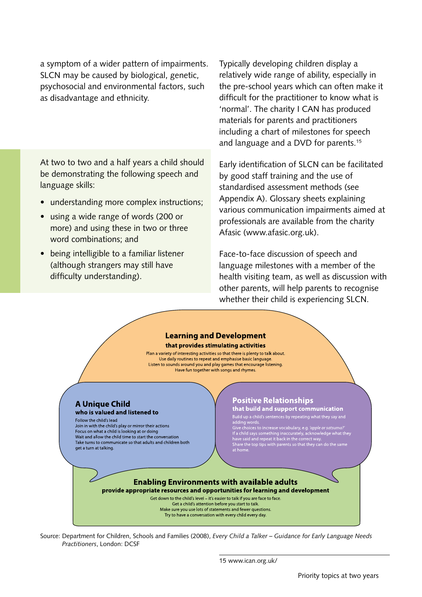a symptom of a wider pattern of impairments. SLCN may be caused by biological, genetic, psychosocial and environmental factors, such as disadvantage and ethnicity.

### At two to two and a half years a child should be demonstrating the following speech and language skills:

- understanding more complex instructions;
- using a wide range of words (200 or more) and using these in two or three word combinations; and
- being intelligible to a familiar listener (although strangers may still have difficulty understanding).

Typically developing children display a relatively wide range of ability, especially in the pre-school years which can often make it difficult for the practitioner to know what is 'normal'. The charity I CAN has produced materials for parents and practitioners including a chart of milestones for speech and language and a DVD for parents.15

Early identification of SLCN can be facilitated by good staff training and the use of standardised assessment methods (see Appendix A). Glossary sheets explaining various communication impairments aimed at professionals are available from the charity Afasic [\(www.afasic.org.uk\)](http://www.afasic.org.uk).

Face-to-face discussion of speech and language milestones with a member of the health visiting team, as well as discussion with other parents, will help parents to recognise whether their child is experiencing SLCN.

#### **Learning and Development**

that provides stimulating activities Plan a variety of interesting activities so that there is plenty to talk about. Use daily routines to repeat and emphasise basic language Listen to sounds around you and play games that encourage listening. Have fun together with songs and rhymes.

#### **A Unique Child** who is valued and listened to

Follow the child's lead Join in with the child's play or mirror their actions Focus on what a child is looking at or doing Wait and allow the child time to start the conversation Take turns to communicate so that adults and children both get a turn at talking.

#### **Positive Relationships**

that build and support communication

**That DUIIG and Support communication**<br>Build up a child's sentences by repeating what they say and<br>adding words.<br>Give choices to increase vocabulary, e.g. *'apple or satsuma?'*<br>If a child says something inaccurately, ackno

### **Enabling Environments with available adults**

provide appropriate resources and opportunities for learning and development

Get down to the child's level - it's easier to talk if you are face to face. Get a child's attention before you start to talk. Make sure you use lots of statements and fewer questions.

Try to have a conversation with every child every day.

Source: Department for Children, Schools and Families (2008), *Every Child a Talker – Guidance for Early Language Needs Practitioners*, London: DCSF

15 [www.ican.org.uk/](http://www.ican.org.uk/)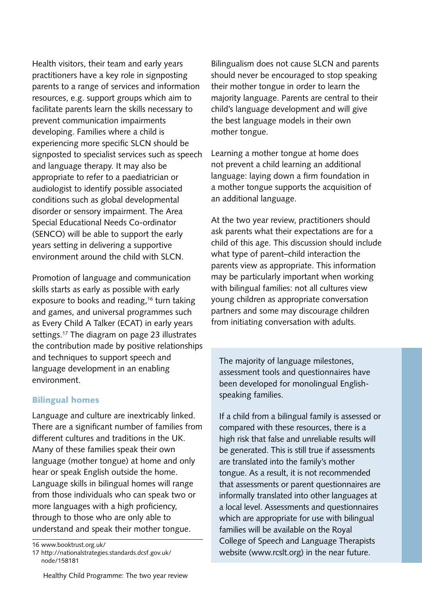Health visitors, their team and early years practitioners have a key role in signposting parents to a range of services and information resources, e.g. support groups which aim to facilitate parents learn the skills necessary to prevent communication impairments developing. Families where a child is experiencing more specific SLCN should be signposted to specialist services such as speech and language therapy. It may also be appropriate to refer to a paediatrician or audiologist to identify possible associated conditions such as global developmental disorder or sensory impairment. The Area Special Educational Needs Co-ordinator (SENCO) will be able to support the early years setting in delivering a supportive environment around the child with SLCN.

Promotion of language and communication skills starts as early as possible with early exposure to books and reading,<sup>16</sup> turn taking and games, and universal programmes such as Every Child A Talker (ECAT) in early years settings.17 The diagram on page 23 illustrates the contribution made by positive relationships and techniques to support speech and language development in an enabling environment.

#### Bilingual homes

Language and culture are inextricably linked. There are a significant number of families from different cultures and traditions in the UK. Many of these families speak their own language (mother tongue) at home and only hear or speak English outside the home. Language skills in bilingual homes will range from those individuals who can speak two or more languages with a high proficiency, through to those who are only able to understand and speak their mother tongue.

16 www.booktrust.org.uk/

Bilingualism does not cause SLCN and parents should never be encouraged to stop speaking their mother tongue in order to learn the majority language. Parents are central to their child's language development and will give the best language models in their own mother tongue.

Learning a mother tongue at home does not prevent a child learning an additional language: laying down a firm foundation in a mother tongue supports the acquisition of an additional language.

At the two year review, practitioners should ask parents what their expectations are for a child of this age. This discussion should include what type of parent–child interaction the parents view as appropriate. This information may be particularly important when working with bilingual families: not all cultures view young children as appropriate conversation partners and some may discourage children from initiating conversation with adults.

The majority of language milestones, assessment tools and questionnaires have been developed for monolingual Englishspeaking families.

 If a child from a bilingual family is assessed or compared with these resources, there is a high risk that false and unreliable results will be generated. This is still true if assessments are translated into the family's mother tongue. As a result, it is not recommended that assessments or parent questionnaires are informally translated into other languages at a local level. Assessments and questionnaires which are appropriate for use with bilingual families will be available on the Royal College of Speech and Language Therapists website (www.rcslt.org) in the near future.

<sup>17</sup> [http://nationalstrategies.standards.dcsf.gov.uk/](http://nationalstrategies.standards.dcsf.gov.uk/node/158181)  [node/158181](http://nationalstrategies.standards.dcsf.gov.uk/node/158181)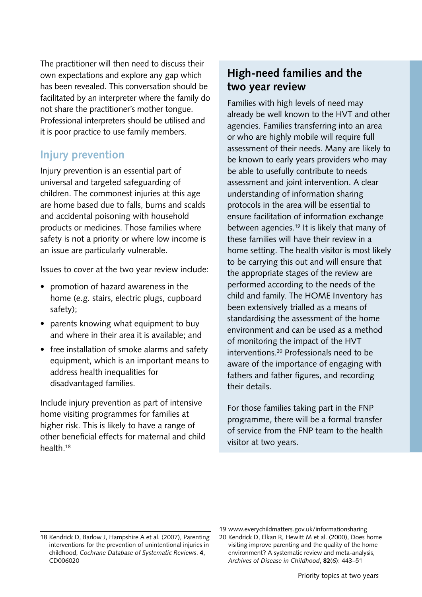The practitioner will then need to discuss their own expectations and explore any gap which has been revealed. This conversation should be facilitated by an interpreter where the family do not share the practitioner's mother tongue. Professional interpreters should be utilised and it is poor practice to use family members.

### **Injury prevention**

Injury prevention is an essential part of universal and targeted safeguarding of children. The commonest injuries at this age are home based due to falls, burns and scalds and accidental poisoning with household products or medicines. Those families where safety is not a priority or where low income is an issue are particularly vulnerable.

Issues to cover at the two year review include:

- promotion of hazard awareness in the home (e.g. stairs, electric plugs, cupboard safety);
- parents knowing what equipment to buy and where in their area it is available; and
- free installation of smoke alarms and safety equipment, which is an important means to address health inequalities for disadvantaged families.

Include injury prevention as part of intensive home visiting programmes for families at higher risk. This is likely to have a range of other beneficial effects for maternal and child health.18

# **High-need families and the two year review**

Families with high levels of need may already be well known to the HVT and other agencies. Families transferring into an area or who are highly mobile will require full assessment of their needs. Many are likely to be known to early years providers who may be able to usefully contribute to needs assessment and joint intervention. A clear understanding of information sharing protocols in the area will be essential to ensure facilitation of information exchange between agencies.<sup>19</sup> It is likely that many of these families will have their review in a home setting. The health visitor is most likely to be carrying this out and will ensure that the appropriate stages of the review are performed according to the needs of the child and family. The HOME Inventory has been extensively trialled as a means of standardising the assessment of the home environment and can be used as a method of monitoring the impact of the HVT interventions.20 Professionals need to be aware of the importance of engaging with fathers and father figures, and recording their details.

For those families taking part in the FNP programme, there will be a formal transfer of service from the FNP team to the health visitor at two years.

<sup>18</sup> Kendrick D, Barlow J, Hampshire A et al. (2007), Parenting interventions for the prevention of unintentional injuries in childhood, *Cochrane Database of Systematic Reviews*, **4**, CD006020

<sup>19</sup> www.everychildmatters.gov.uk/informationsharing 20 Kendrick D, Elkan R, Hewitt M et al. (2000), Does home visiting improve parenting and the quality of the home environment? A systematic review and meta-analysis, *Archives of Disease in Childhood*, **82**(6): 443–51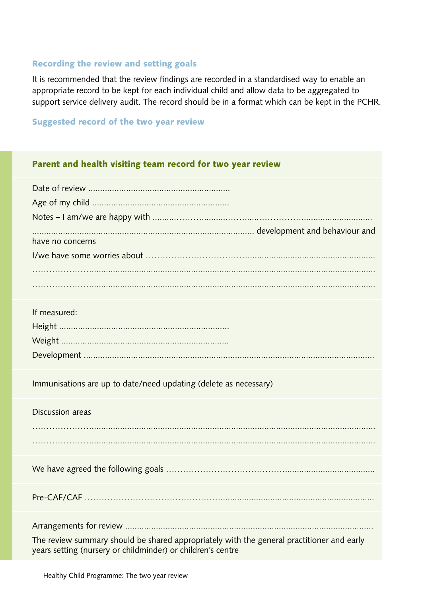#### Recording the review and setting goals

It is recommended that the review findings are recorded in a standardised way to enable an appropriate record to be kept for each individual child and allow data to be aggregated to support service delivery audit. The record should be in a format which can be kept in the PCHR.

#### Suggested record of the two year review

#### Parent and health visiting team record for two year review

| development and behaviour and influential continuum and the matter of the matter of the matter of the matter o<br>have no concerns                       |
|----------------------------------------------------------------------------------------------------------------------------------------------------------|
|                                                                                                                                                          |
|                                                                                                                                                          |
|                                                                                                                                                          |
| If measured:                                                                                                                                             |
|                                                                                                                                                          |
|                                                                                                                                                          |
|                                                                                                                                                          |
| Immunisations are up to date/need updating (delete as necessary)                                                                                         |
| <b>Discussion areas</b>                                                                                                                                  |
|                                                                                                                                                          |
|                                                                                                                                                          |
|                                                                                                                                                          |
| Pre-CAF/CAF                                                                                                                                              |
| The review summary should be shared appropriately with the general practitioner and early<br>years setting (nursery or childminder) or children's centre |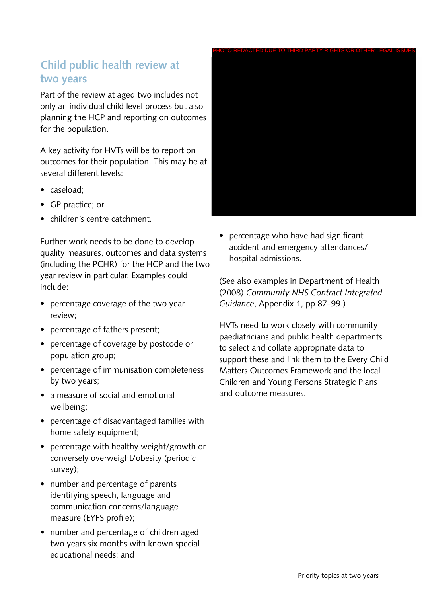# **Child public health review at two years**

Part of the review at aged two includes not only an individual child level process but also planning the HCP and reporting on outcomes for the population.

A key activity for HVTs will be to report on outcomes for their population. This may be at several different levels:

- caseload;
- GP practice; or
- children's centre catchment.

Further work needs to be done to develop quality measures, outcomes and data systems (including the PCHR) for the HCP and the two year review in particular. Examples could include:

- percentage coverage of the two year review;
- percentage of fathers present;
- percentage of coverage by postcode or population group;
- percentage of immunisation completeness by two years;
- a measure of social and emotional wellbeing;
- percentage of disadvantaged families with home safety equipment;
- percentage with healthy weight/growth or conversely overweight/obesity (periodic survey);
- number and percentage of parents identifying speech, language and communication concerns/language measure (EYFS profile);
- number and percentage of children aged two years six months with known special educational needs; and



percentage who have had significant accident and emergency attendances/ hospital admissions.

(See also examples in Department of Health (2008) *Community NHS Contract Integrated Guidance*, Appendix 1, pp 87–99.)

HVTs need to work closely with community paediatricians and public health departments to select and collate appropriate data to support these and link them to the Every Child Matters Outcomes Framework and the local Children and Young Persons Strategic Plans and outcome measures.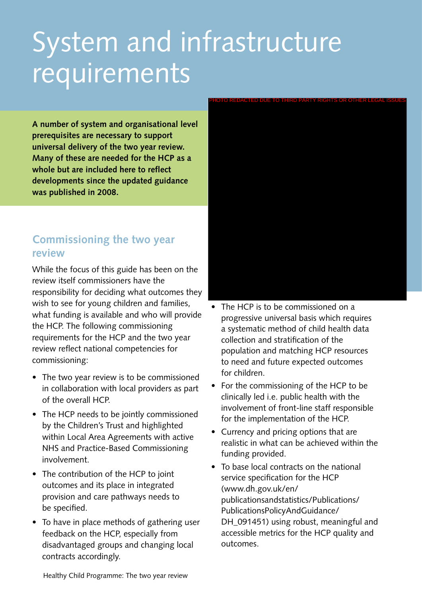# System and infrastructure requirements

**a number of system and organisational level prerequisites are necessary to support universal delivery of the two year review. many of these are needed for the HCP as a whole but are included here to reflect developments since the updated guidance was published in 2008.** 

# **Commissioning the two year review**

While the focus of this guide has been on the review itself commissioners have the responsibility for deciding what outcomes they wish to see for young children and families, what funding is available and who will provide the HCP. The following commissioning requirements for the HCP and the two year review reflect national competencies for commissioning:

- The two year review is to be commissioned in collaboration with local providers as part of the overall HCP.
- The HCP needs to be jointly commissioned by the Children's Trust and highlighted within Local Area Agreements with active NHS and Practice-Based Commissioning involvement.
- The contribution of the HCP to joint outcomes and its place in integrated provision and care pathways needs to be specified.
- To have in place methods of gathering user feedback on the HCP, especially from disadvantaged groups and changing local contracts accordingly.



- The HCP is to be commissioned on a progressive universal basis which requires a systematic method of child health data collection and stratification of the population and matching HCP resources to need and future expected outcomes for children.
- For the commissioning of the HCP to be clinically led i.e. public health with the involvement of front-line staff responsible for the implementation of the HCP.
- Currency and pricing options that are realistic in what can be achieved within the funding provided.
- To base local contracts on the national service specification for the HCP (www.dh.gov.uk/en/ publicationsandstatistics/Publications/ PublicationsPolicyAndGuidance/ DH\_091451) using robust, meaningful and accessible metrics for the HCP quality and outcomes.

Healthy Child Programme: The two year review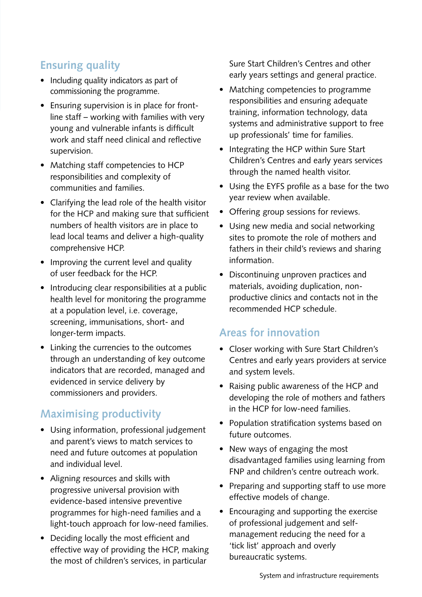# **ensuring quality**

- Including quality indicators as part of commissioning the programme.
- Ensuring supervision is in place for frontline staff – working with families with very young and vulnerable infants is difficult work and staff need clinical and reflective supervision.
- Matching staff competencies to HCP responsibilities and complexity of communities and families.
- Clarifying the lead role of the health visitor for the HCP and making sure that sufficient numbers of health visitors are in place to lead local teams and deliver a high-quality comprehensive HCP.
- Improving the current level and quality of user feedback for the HCP.
- Introducing clear responsibilities at a public health level for monitoring the programme at a population level, i.e. coverage, screening, immunisations, short- and longer-term impacts.
- Linking the currencies to the outcomes through an understanding of key outcome indicators that are recorded, managed and evidenced in service delivery by commissioners and providers.

# **maximising productivity**

- Using information, professional judgement and parent's views to match services to need and future outcomes at population and individual level.
- Aligning resources and skills with progressive universal provision with evidence-based intensive preventive programmes for high-need families and a light-touch approach for low-need families.
- Deciding locally the most efficient and effective way of providing the HCP, making the most of children's services, in particular

Sure Start Children's Centres and other early years settings and general practice.

- Matching competencies to programme responsibilities and ensuring adequate training, information technology, data systems and administrative support to free up professionals' time for families.
- Integrating the HCP within Sure Start Children's Centres and early years services through the named health visitor.
- Using the EYFS profile as a base for the two year review when available.
- Offering group sessions for reviews.
- Using new media and social networking sites to promote the role of mothers and fathers in their child's reviews and sharing information.
- • � Discontinuing unproven practices and materials, avoiding duplication, nonproductive clinics and contacts not in the recommended HCP schedule.

# **areas for innovation**

- Closer working with Sure Start Children's Centres and early years providers at service and system levels.
- Raising public awareness of the HCP and developing the role of mothers and fathers in the HCP for low-need families.
- Population stratification systems based on future outcomes.
- New ways of engaging the most disadvantaged families using learning from FNP and children's centre outreach work.
- Preparing and supporting staff to use more effective models of change.
- Encouraging and supporting the exercise of professional judgement and selfmanagement reducing the need for a 'tick list' approach and overly bureaucratic systems.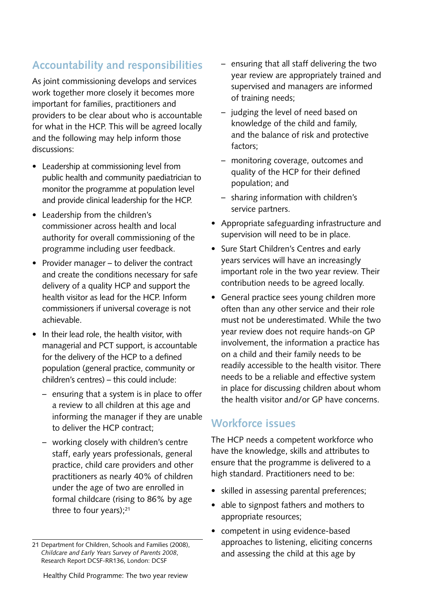# **accountability and responsibilities**

As joint commissioning develops and services work together more closely it becomes more important for families, practitioners and providers to be clear about who is accountable for what in the HCP. This will be agreed locally and the following may help inform those discussions:

- Leadership at commissioning level from public health and community paediatrician to monitor the programme at population level and provide clinical leadership for the HCP.
- Leadership from the children's commissioner across health and local authority for overall commissioning of the programme including user feedback.
- Provider manager to deliver the contract and create the conditions necessary for safe delivery of a quality HCP and support the health visitor as lead for the HCP. Inform commissioners if universal coverage is not achievable.
- In their lead role, the health visitor, with managerial and PCT support, is accountable for the delivery of the HCP to a defined population (general practice, community or children's centres) – this could include:
	- $-$  ensuring that a system is in place to offer a review to all children at this age and informing the manager if they are unable to deliver the HCP contract;
	- working closely with children's centre staff, early years professionals, general practice, child care providers and other practitioners as nearly 40% of children under the age of two are enrolled in formal childcare (rising to 86% by age three to four years); $21$
- – � ensuring that all staff delivering the two year review are appropriately trained and supervised and managers are informed of training needs;
- judging the level of need based on knowledge of the child and family, and the balance of risk and protective factors;
- – � monitoring coverage, outcomes and quality of the HCP for their defined population; and
- – �sharing information with children's service partners.
- Appropriate safeguarding infrastructure and supervision will need to be in place.
- Sure Start Children's Centres and early years services will have an increasingly important role in the two year review. Their contribution needs to be agreed locally.
- General practice sees young children more often than any other service and their role must not be underestimated. While the two year review does not require hands-on GP involvement, the information a practice has on a child and their family needs to be readily accessible to the health visitor. There needs to be a reliable and effective system in place for discussing children about whom the health visitor and/or GP have concerns.

# **Workforce issues**

The HCP needs a competent workforce who have the knowledge, skills and attributes to ensure that the programme is delivered to a high standard. Practitioners need to be:

- skilled in assessing parental preferences;
- able to signpost fathers and mothers to appropriate resources;
- competent in using evidence-based approaches to listening, eliciting concerns and assessing the child at this age by

<sup>21</sup> Department for Children, Schools and Families (2008), *Childcare and Early Years Survey of Parents 2008*, Research Report DCSF-RR136, London: DCSF

Healthy Child Programme: The two year review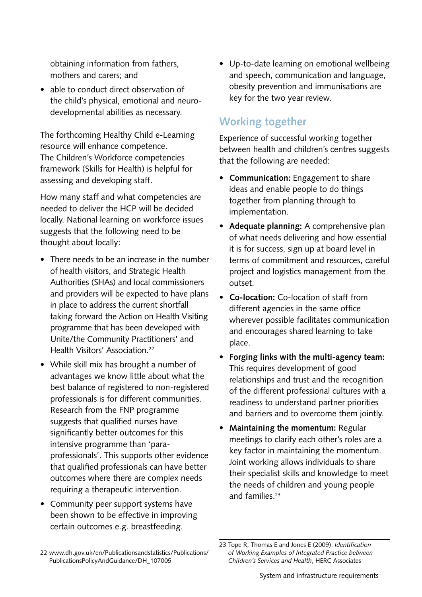obtaining information from fathers, mothers and carers; and

• able to conduct direct observation of the child's physical, emotional and neurodevelopmental abilities as necessary.

The forthcoming Healthy Child e-Learning resource will enhance competence. The Children's Workforce competencies framework (Skills for Health) is helpful for assessing and developing staff.

How many staff and what competencies are needed to deliver the HCP will be decided locally. National learning on workforce issues suggests that the following need to be thought about locally:

- There needs to be an increase in the number of health visitors, and Strategic Health Authorities (SHAs) and local commissioners and providers will be expected to have plans in place to address the current shortfall taking forward the Action on Health Visiting programme that has been developed with Unite/the Community Practitioners' and Health Visitors' Association.<sup>22</sup>
- While skill mix has brought a number of advantages we know little about what the best balance of registered to non-registered professionals is for different communities. Research from the FNP programme suggests that qualified nurses have significantly better outcomes for this intensive programme than 'paraprofessionals'. This supports other evidence that qualified professionals can have better outcomes where there are complex needs requiring a therapeutic intervention.
- Community peer support systems have been shown to be effective in improving certain outcomes e.g. breastfeeding.

• Up-to-date learning on emotional wellbeing and speech, communication and language, obesity prevention and immunisations are key for the two year review.

# **Working together**

Experience of successful working together between health and children's centres suggests that the following are needed:

- • � **Communication:** Engagement to share ideas and enable people to do things together from planning through to implementation.
- • � **adequate planning:** A comprehensive plan of what needs delivering and how essential it is for success, sign up at board level in terms of commitment and resources, careful project and logistics management from the outset.
- • � **Co-location:** Co-location of staff from different agencies in the same office wherever possible facilitates communication and encourages shared learning to take place.
- • � **forging links with the multi-agency team:**  This requires development of good relationships and trust and the recognition of the different professional cultures with a readiness to understand partner priorities and barriers and to overcome them jointly.
- **Maintaining the momentum: Regular** meetings to clarify each other's roles are a key factor in maintaining the momentum. Joint working allows individuals to share their specialist skills and knowledge to meet the needs of children and young people and families.<sup>23</sup>

<sup>22</sup> www.dh.gov.uk/en/Publicationsandstatistics/Publications/ PublicationsPolicyAndGuidance/DH\_107005

<sup>23</sup> Tope R, Thomas E and Jones E (2009), *Identification of Working Examples of Integrated Practice between Children's Services and Health*, HERC Associates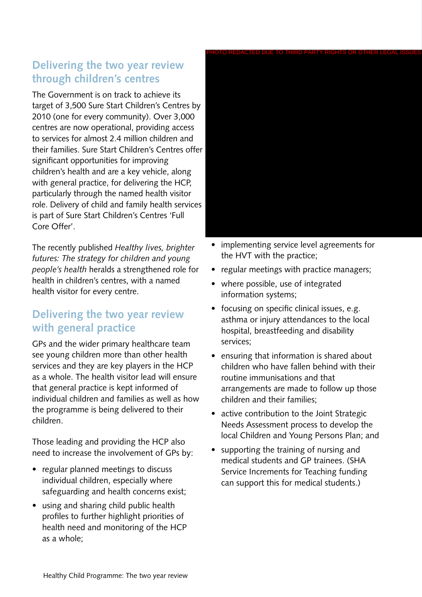#### PHOTO REDACTED DUE TO THIRD PARTY RIGHTS OR OTHER LEGAL ISSUES

### **Delivering the two year review through children's centres**

 The Government is on track to achieve its target of 3,500 Sure Start Children's Centres by 2010 (one for every community). Over 3,000 centres are now operational, providing access to services for almost 2.4 million children and their families. Sure Start Children's Centres offer significant opportunities for improving children's health and are a key vehicle, along with general practice, for delivering the HCP, particularly through the named health visitor role. Delivery of child and family health services is part of Sure Start Children's Centres 'Full Core Offer'.

The recently published *Healthy lives, brighter futures: The strategy for children and young people's health* heralds a strengthened role for health in children's centres, with a named health visitor for every centre.

# **Delivering the two year review with general practice**

GPs and the wider primary healthcare team see young children more than other health services and they are key players in the HCP as a whole. The health visitor lead will ensure that general practice is kept informed of individual children and families as well as how the programme is being delivered to their children.

Those leading and providing the HCP also need to increase the involvement of GPs by:

- regular planned meetings to discuss individual children, especially where safeguarding and health concerns exist;
- using and sharing child public health profiles to further highlight priorities of health need and monitoring of the HCP as a whole;



- implementing service level agreements for the HVT with the practice;
- regular meetings with practice managers;
- where possible, use of integrated information systems;
- focusing on specific clinical issues, e.g. asthma or injury attendances to the local hospital, breastfeeding and disability services;
- ensuring that information is shared about children who have fallen behind with their routine immunisations and that arrangements are made to follow up those children and their families;
- active contribution to the Joint Strategic Needs Assessment process to develop the local Children and Young Persons Plan; and
- supporting the training of nursing and medical students and GP trainees. (SHA Service Increments for Teaching funding can support this for medical students.)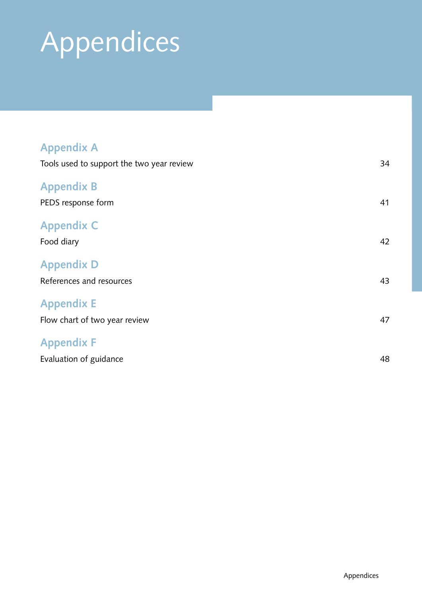# Appendices

| <b>Appendix A</b><br>Tools used to support the two year review | 34 |
|----------------------------------------------------------------|----|
| <b>Appendix B</b><br>PEDS response form                        | 41 |
| <b>Appendix C</b><br>Food diary                                | 42 |
| <b>Appendix D</b><br>References and resources                  | 43 |
| <b>Appendix E</b><br>Flow chart of two year review             | 47 |
| <b>Appendix F</b><br>Evaluation of guidance                    | 48 |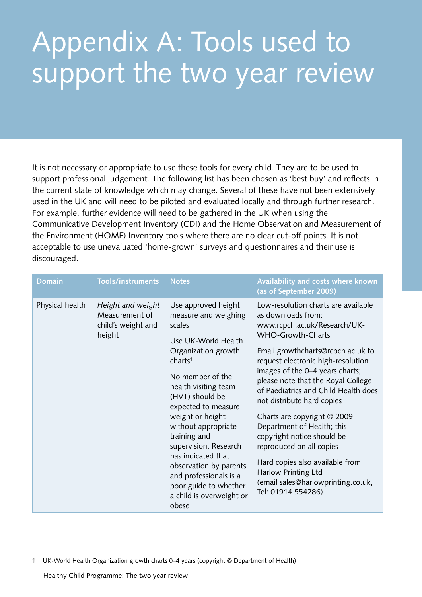# Appendix A: Tools used to support the two year review

It is not necessary or appropriate to use these tools for every child. They are to be used to support professional judgement. The following list has been chosen as 'best buy' and reflects in the current state of knowledge which may change. Several of these have not been extensively used in the UK and will need to be piloted and evaluated locally and through further research. For example, further evidence will need to be gathered in the UK when using the Communicative Development Inventory (CDI) and the Home Observation and Measurement of the Environment (HOME) Inventory tools where there are no clear cut-off points. It is not acceptable to use unevaluated 'home-grown' surveys and questionnaires and their use is discouraged.

| <b>Domain</b>   | <b>Tools/instruments</b>                                            | <b>Notes</b>                                                                                                                                                                                                                                                                                                                                                                                                                                 | Availability and costs where known<br>(as of September 2009)                                                                                                                                                                                                                                                                                                                                                                                                                                                                                                                                       |
|-----------------|---------------------------------------------------------------------|----------------------------------------------------------------------------------------------------------------------------------------------------------------------------------------------------------------------------------------------------------------------------------------------------------------------------------------------------------------------------------------------------------------------------------------------|----------------------------------------------------------------------------------------------------------------------------------------------------------------------------------------------------------------------------------------------------------------------------------------------------------------------------------------------------------------------------------------------------------------------------------------------------------------------------------------------------------------------------------------------------------------------------------------------------|
| Physical health | Height and weight<br>Measurement of<br>child's weight and<br>height | Use approved height<br>measure and weighing<br>scales<br>Use UK-World Health<br>Organization growth<br>charts <sup>1</sup><br>No member of the<br>health visiting team<br>(HVT) should be<br>expected to measure<br>weight or height<br>without appropriate<br>training and<br>supervision. Research<br>has indicated that<br>observation by parents<br>and professionals is a<br>poor guide to whether<br>a child is overweight or<br>obese | Low-resolution charts are available<br>as downloads from:<br>www.rcpch.ac.uk/Research/UK-<br><b>WHO-Growth-Charts</b><br>Email growthcharts@rcpch.ac.uk to<br>request electronic high-resolution<br>images of the 0–4 years charts;<br>please note that the Royal College<br>of Paediatrics and Child Health does<br>not distribute hard copies<br>Charts are copyright $\odot$ 2009<br>Department of Health; this<br>copyright notice should be<br>reproduced on all copies<br>Hard copies also available from<br>Harlow Printing Ltd<br>(email sales@harlowprinting.co.uk,<br>Tel: 01914 554286) |

1 UK-World Health Organization growth charts 0–4 years (copyright © Department of Health)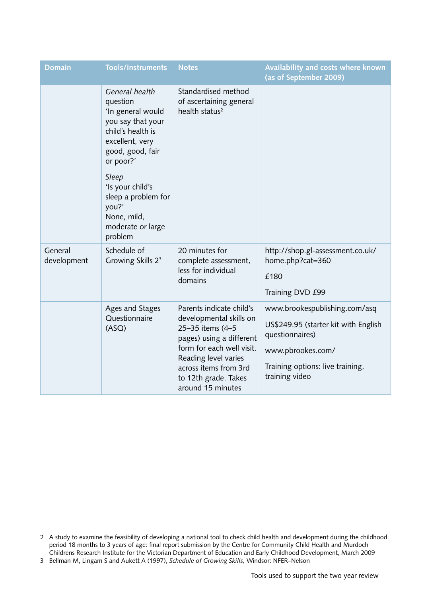| <b>Domain</b>          | <b>Tools/instruments</b>                                                                                                                                                                                                                                  | <b>Notes</b>                                                                                                                                                                                                                   | Availability and costs where known<br>(as of September 2009)                                                                                                        |
|------------------------|-----------------------------------------------------------------------------------------------------------------------------------------------------------------------------------------------------------------------------------------------------------|--------------------------------------------------------------------------------------------------------------------------------------------------------------------------------------------------------------------------------|---------------------------------------------------------------------------------------------------------------------------------------------------------------------|
|                        | General health<br>question<br>'In general would<br>you say that your<br>child's health is<br>excellent, very<br>good, good, fair<br>or poor?'<br>Sleep<br>'Is your child's<br>sleep a problem for<br>you?'<br>None, mild,<br>moderate or large<br>problem | Standardised method<br>of ascertaining general<br>health status <sup>2</sup>                                                                                                                                                   |                                                                                                                                                                     |
| General<br>development | Schedule of<br>Growing Skills 2 <sup>3</sup>                                                                                                                                                                                                              | 20 minutes for<br>complete assessment,<br>less for individual<br>domains                                                                                                                                                       | http://shop.gl-assessment.co.uk/<br>home.php?cat=360<br>£180<br>Training DVD £99                                                                                    |
|                        | Ages and Stages<br>Questionnaire<br>(ASQ)                                                                                                                                                                                                                 | Parents indicate child's<br>developmental skills on<br>25-35 items (4-5<br>pages) using a different<br>form for each well visit.<br>Reading level varies<br>across items from 3rd<br>to 12th grade. Takes<br>around 15 minutes | www.brookespublishing.com/asq<br>US\$249.95 (starter kit with English<br>questionnaires)<br>www.pbrookes.com/<br>Training options: live training,<br>training video |

<sup>2</sup> A study to examine the feasibility of developing a national tool to check child health and development during the childhood period 18 months to 3 years of age: final report submission by the Centre for Community Child Health and Murdoch Childrens Research Institute for the Victorian Department of Education and Early Childhood Development, March 2009

<sup>3</sup> Bellman M, Lingam S and Aukett A (1997), *Schedule of Growing Skills,* Windsor: NFER–Nelson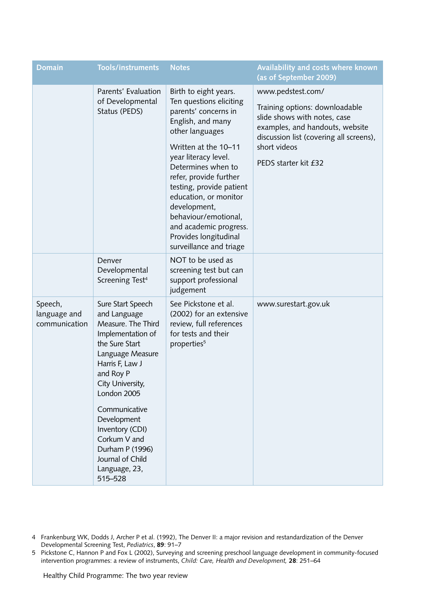| <b>Domain</b>                            | <b>Tools/instruments</b>                                                                                                                                                                                                                                                                                                    | <b>Notes</b>                                                                                                                                                                                                                                                                                                                                                                                | <b>Availability and costs where known</b><br>(as of September 2009)                                                                                                                                       |
|------------------------------------------|-----------------------------------------------------------------------------------------------------------------------------------------------------------------------------------------------------------------------------------------------------------------------------------------------------------------------------|---------------------------------------------------------------------------------------------------------------------------------------------------------------------------------------------------------------------------------------------------------------------------------------------------------------------------------------------------------------------------------------------|-----------------------------------------------------------------------------------------------------------------------------------------------------------------------------------------------------------|
|                                          | Parents' Evaluation<br>of Developmental<br>Status (PEDS)                                                                                                                                                                                                                                                                    | Birth to eight years.<br>Ten questions eliciting<br>parents' concerns in<br>English, and many<br>other languages<br>Written at the 10-11<br>year literacy level.<br>Determines when to<br>refer, provide further<br>testing, provide patient<br>education, or monitor<br>development,<br>behaviour/emotional,<br>and academic progress.<br>Provides longitudinal<br>surveillance and triage | www.pedstest.com/<br>Training options: downloadable<br>slide shows with notes, case<br>examples, and handouts, website<br>discussion list (covering all screens),<br>short videos<br>PEDS starter kit £32 |
|                                          | Denver<br>Developmental<br>Screening Test <sup>4</sup>                                                                                                                                                                                                                                                                      | NOT to be used as<br>screening test but can<br>support professional<br>judgement                                                                                                                                                                                                                                                                                                            |                                                                                                                                                                                                           |
| Speech,<br>language and<br>communication | Sure Start Speech<br>and Language<br>Measure. The Third<br>Implementation of<br>the Sure Start<br>Language Measure<br>Harris F, Law J<br>and Roy P<br>City University,<br>London 2005<br>Communicative<br>Development<br>Inventory (CDI)<br>Corkum V and<br>Durham P (1996)<br>Journal of Child<br>Language, 23,<br>515-528 | See Pickstone et al.<br>(2002) for an extensive<br>review, full references<br>for tests and their<br>properties <sup>5</sup>                                                                                                                                                                                                                                                                | www.surestart.gov.uk                                                                                                                                                                                      |

<sup>4</sup> Frankenburg WK, Dodds J, Archer P et al. (1992), The Denver II: a major revision and restandardization of the Denver Developmental Screening Test, *Pediatrics*, **89**: 91–7

<sup>5</sup> Pickstone C, Hannon P and Fox L (2002), Surveying and screening preschool language development in community-focused intervention programmes: a review of instruments, *Child: Care, Health and Development,* **28**: 251–64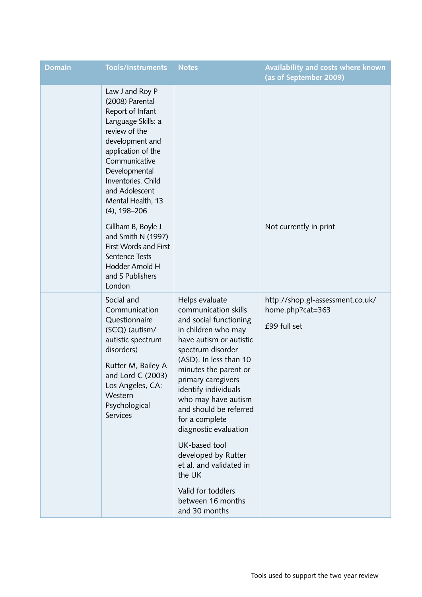| <b>Domain</b> | Tools/instruments                                                                                                                                                                                                                                        | <b>Notes</b>                                                                                                                                                                                                                                                                                                                         | Availability and costs where known<br>(as of September 2009)         |
|---------------|----------------------------------------------------------------------------------------------------------------------------------------------------------------------------------------------------------------------------------------------------------|--------------------------------------------------------------------------------------------------------------------------------------------------------------------------------------------------------------------------------------------------------------------------------------------------------------------------------------|----------------------------------------------------------------------|
|               | Law J and Roy P<br>(2008) Parental<br>Report of Infant<br>Language Skills: a<br>review of the<br>development and<br>application of the<br>Communicative<br>Developmental<br>Inventories. Child<br>and Adolescent<br>Mental Health, 13<br>$(4)$ , 198-206 |                                                                                                                                                                                                                                                                                                                                      |                                                                      |
|               | Gillham B, Boyle J<br>and Smith N (1997)<br>First Words and First<br>Sentence Tests<br>Hodder Arnold H<br>and S Publishers<br>London                                                                                                                     |                                                                                                                                                                                                                                                                                                                                      | Not currently in print                                               |
|               | Social and<br>Communication<br>Questionnaire<br>(SCQ) (autism/<br>autistic spectrum<br>disorders)<br>Rutter M, Bailey A<br>and Lord C (2003)<br>Los Angeles, CA:<br>Western<br>Psychological<br><b>Services</b>                                          | Helps evaluate<br>communication skills<br>and social functioning<br>in children who may<br>have autism or autistic<br>spectrum disorder<br>(ASD). In less than 10<br>minutes the parent or<br>primary caregivers<br>identify individuals<br>who may have autism<br>and should be referred<br>for a complete<br>diagnostic evaluation | http://shop.gl-assessment.co.uk/<br>home.php?cat=363<br>£99 full set |
|               |                                                                                                                                                                                                                                                          | UK-based tool<br>developed by Rutter<br>et al. and validated in<br>the UK                                                                                                                                                                                                                                                            |                                                                      |
|               |                                                                                                                                                                                                                                                          | Valid for toddlers<br>between 16 months<br>and 30 months                                                                                                                                                                                                                                                                             |                                                                      |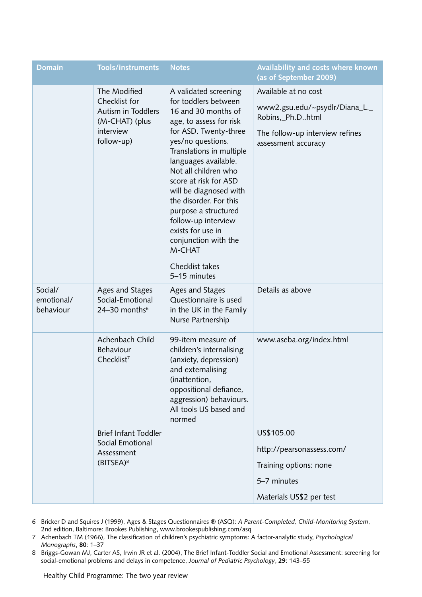| <b>Domain</b>                      | <b>Tools/instruments</b>                                                                         | <b>Notes</b>                                                                                                                                                                                                                                                                                                                                                                                                                                    | <b>Availability and costs where known</b><br>(as of September 2009)                                                                  |
|------------------------------------|--------------------------------------------------------------------------------------------------|-------------------------------------------------------------------------------------------------------------------------------------------------------------------------------------------------------------------------------------------------------------------------------------------------------------------------------------------------------------------------------------------------------------------------------------------------|--------------------------------------------------------------------------------------------------------------------------------------|
|                                    | The Modified<br>Checklist for<br>Autism in Toddlers<br>(M-CHAT) (plus<br>interview<br>follow-up) | A validated screening<br>for toddlers between<br>16 and 30 months of<br>age, to assess for risk<br>for ASD. Twenty-three<br>yes/no questions.<br>Translations in multiple<br>languages available.<br>Not all children who<br>score at risk for ASD<br>will be diagnosed with<br>the disorder. For this<br>purpose a structured<br>follow-up interview<br>exists for use in<br>conjunction with the<br>M-CHAT<br>Checklist takes<br>5-15 minutes | Available at no cost<br>www2.gsu.edu/~psydlr/Diana_L._<br>Robins,_Ph.Dhtml<br>The follow-up interview refines<br>assessment accuracy |
| Social/<br>emotional/<br>behaviour | Ages and Stages<br>Social-Emotional<br>24-30 months <sup>6</sup>                                 | Ages and Stages<br>Questionnaire is used<br>in the UK in the Family<br>Nurse Partnership                                                                                                                                                                                                                                                                                                                                                        | Details as above                                                                                                                     |
|                                    | Achenbach Child<br>Behaviour<br>Checklist <sup>7</sup>                                           | 99-item measure of<br>children's internalising<br>(anxiety, depression)<br>and externalising<br>(inattention,<br>oppositional defiance,<br>aggression) behaviours.<br>All tools US based and<br>normed                                                                                                                                                                                                                                          | www.aseba.org/index.html                                                                                                             |
|                                    | <b>Brief Infant Toddler</b><br>Social Emotional<br>Assessment<br>(BITSEA) <sup>8</sup>           |                                                                                                                                                                                                                                                                                                                                                                                                                                                 | US\$105.00<br>http://pearsonassess.com/<br>Training options: none<br>5-7 minutes<br>Materials US\$2 per test                         |

- 6 Bricker D and Squires J (1999), Ages & Stages Questionnaires ® (ASQ): *A Parent-Completed, Child-Monitoring System*, 2nd edition, Baltimore: Brookes Publishing, www.brookespublishing.com/asq
- 7 Achenbach TM (1966), The classification of children's psychiatric symptoms: A factor-analytic study, *Psychological Monographs*, **80**: 1–37
- 8 Briggs-Gowan MJ, Carter AS, Irwin JR et al. (2004), The Brief Infant-Toddler Social and Emotional Assessment: screening for social-emotional problems and delays in competence, *Journal of Pediatric Psychology*, **29**: 143–55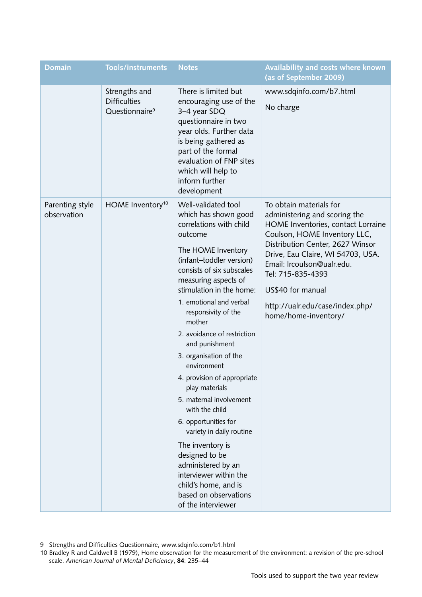| <b>Domain</b>                  | <b>Tools/instruments</b>                                           | <b>Notes</b>                                                                                                                                                                                                                                                                                                                                                                                                                                                                                                                                                                                                                                                                              | Availability and costs where known<br>(as of September 2009)                                                                                                                                                                                                                                                                               |
|--------------------------------|--------------------------------------------------------------------|-------------------------------------------------------------------------------------------------------------------------------------------------------------------------------------------------------------------------------------------------------------------------------------------------------------------------------------------------------------------------------------------------------------------------------------------------------------------------------------------------------------------------------------------------------------------------------------------------------------------------------------------------------------------------------------------|--------------------------------------------------------------------------------------------------------------------------------------------------------------------------------------------------------------------------------------------------------------------------------------------------------------------------------------------|
|                                | Strengths and<br><b>Difficulties</b><br>Questionnaire <sup>9</sup> | There is limited but<br>encouraging use of the<br>3-4 year SDQ<br>questionnaire in two<br>year olds. Further data<br>is being gathered as<br>part of the formal<br>evaluation of FNP sites<br>which will help to<br>inform further<br>development                                                                                                                                                                                                                                                                                                                                                                                                                                         | www.sdqinfo.com/b7.html<br>No charge                                                                                                                                                                                                                                                                                                       |
| Parenting style<br>observation | HOME Inventory <sup>10</sup>                                       | Well-validated tool<br>which has shown good<br>correlations with child<br>outcome<br>The HOME Inventory<br>(infant-toddler version)<br>consists of six subscales<br>measuring aspects of<br>stimulation in the home:<br>1. emotional and verbal<br>responsivity of the<br>mother<br>2. avoidance of restriction<br>and punishment<br>3. organisation of the<br>environment<br>4. provision of appropriate<br>play materials<br>5. maternal involvement<br>with the child<br>6. opportunities for<br>variety in daily routine<br>The inventory is<br>designed to be<br>administered by an<br>interviewer within the<br>child's home, and is<br>based on observations<br>of the interviewer | To obtain materials for<br>administering and scoring the<br>HOME Inventories, contact Lorraine<br>Coulson, HOME Inventory LLC,<br>Distribution Center, 2627 Winsor<br>Drive, Eau Claire, WI 54703, USA.<br>Email: Ircoulson@ualr.edu.<br>Tel: 715-835-4393<br>US\$40 for manual<br>http://ualr.edu/case/index.php/<br>home/home-inventory/ |

9 Strengths and Difficulties Questionnaire, www.sdqinfo.com/b1.html

<sup>10</sup> Bradley R and Caldwell B (1979), Home observation for the measurement of the environment: a revision of the pre-school scale, *American Journal of Mental Deficiency*, **84**: 235–44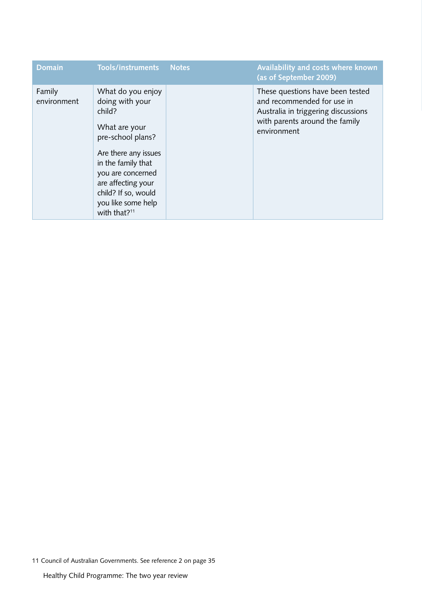| <b>Domain</b>         | <b>Tools/instruments Notes</b>                                                                                                                                                                                                                | Availability and costs where known<br>(as of September 2009)                                                                                           |
|-----------------------|-----------------------------------------------------------------------------------------------------------------------------------------------------------------------------------------------------------------------------------------------|--------------------------------------------------------------------------------------------------------------------------------------------------------|
| Family<br>environment | What do you enjoy<br>doing with your<br>child?<br>What are your<br>pre-school plans?<br>Are there any issues<br>in the family that<br>you are concerned<br>are affecting your<br>child? If so, would<br>you like some help<br>with that? $11$ | These questions have been tested<br>and recommended for use in<br>Australia in triggering discussions<br>with parents around the family<br>environment |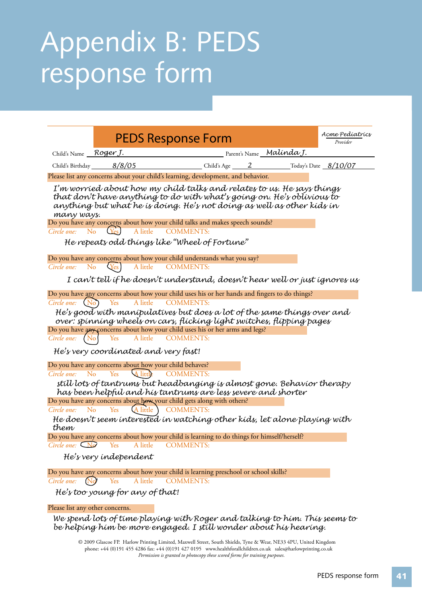# Appendix B: PEDS response form

|                                 |                          |                                      | <b>PEDS Response Form</b>                                                                                                                                                                                                                             |                             |  | Acme Pedíatrics<br>Provider |
|---------------------------------|--------------------------|--------------------------------------|-------------------------------------------------------------------------------------------------------------------------------------------------------------------------------------------------------------------------------------------------------|-----------------------------|--|-----------------------------|
| Child's Name Roger J.           |                          |                                      |                                                                                                                                                                                                                                                       | Parent's Name Malínda J.    |  |                             |
| Child's Birthday                |                          | 8/8/05                               |                                                                                                                                                                                                                                                       | Child's Age<br>$\mathbf{Z}$ |  | Today's Date 8/10/07        |
|                                 |                          |                                      | Please list any concerns about your child's learning, development, and behavior.                                                                                                                                                                      |                             |  |                             |
| many ways.                      |                          |                                      | I'm worried about how my child talks and relates to us. He says things<br>that don't have anything to do with what's going on. He's oblivious to<br>anything but what he is doing. He's not doing as well as other kids in                            |                             |  |                             |
| Circle one:                     | $(Y_{es})$<br>No         | A little                             | Do you have any concerns about how your child talks and makes speech sounds?<br><b>COMMENTS:</b>                                                                                                                                                      |                             |  |                             |
|                                 |                          |                                      | He repeats odd things like "Wheel of Fortune"                                                                                                                                                                                                         |                             |  |                             |
|                                 |                          |                                      |                                                                                                                                                                                                                                                       |                             |  |                             |
|                                 |                          |                                      | Do you have any concerns about how your child understands what you say?                                                                                                                                                                               |                             |  |                             |
| Circle one:                     | N <sub>o</sub><br>Yes    | A little                             | <b>COMMENTS:</b>                                                                                                                                                                                                                                      |                             |  |                             |
|                                 |                          |                                      | I can't tell if he doesn't understand, doesn't hear well or just ignores us                                                                                                                                                                           |                             |  |                             |
|                                 |                          |                                      | Do you have any concerns about how your child uses his or her hands and fingers to do things?                                                                                                                                                         |                             |  |                             |
| Circle one:                     | (N <sub>o</sub> )<br>Yes | A little                             | <b>COMMENTS:</b>                                                                                                                                                                                                                                      |                             |  |                             |
| Circle one:                     | (No)<br>Yes              | A little                             | He's good with manipulatives but does a lot of the same things over and<br>over: spinning wheels on cars, flicking light switches, flipping pages<br>Do you have any concerns about how your child uses his or her arms and legs?<br><b>COMMENTS:</b> |                             |  |                             |
|                                 |                          | He's very coordinated and very fast! |                                                                                                                                                                                                                                                       |                             |  |                             |
|                                 |                          |                                      | Do you have any concerns about how your child behaves?                                                                                                                                                                                                |                             |  |                             |
| Circle one:                     | No<br>Yes                | A little                             | <b>COMMENTS:</b>                                                                                                                                                                                                                                      |                             |  |                             |
|                                 |                          |                                      | still lots of tantrums but headbanging is almost gone. Behavior therapy<br>has been helpful and his tantrums are less severe and shorter                                                                                                              |                             |  |                             |
|                                 |                          |                                      | Do you have any concerns about how your child gets along with others?                                                                                                                                                                                 |                             |  |                             |
| Circle one:                     | N <sub>o</sub><br>Yes    |                                      | (A little ) COMMENTS:                                                                                                                                                                                                                                 |                             |  |                             |
| them                            |                          |                                      | He doesn't seem interested in watching other kids, let alone playing with                                                                                                                                                                             |                             |  |                             |
|                                 |                          |                                      | Do you have any concerns about how your child is learning to do things for himself/herself?                                                                                                                                                           |                             |  |                             |
| $Circle\ one:\ \Box\$           | Yes                      | A little                             | <b>COMMENTS:</b>                                                                                                                                                                                                                                      |                             |  |                             |
|                                 |                          | He's very independent                |                                                                                                                                                                                                                                                       |                             |  |                             |
|                                 |                          |                                      | Do you have any concerns about how your child is learning preschool or school skills?                                                                                                                                                                 |                             |  |                             |
| Circle one:                     | No<br>Yes                | A little                             | <b>COMMENTS:</b>                                                                                                                                                                                                                                      |                             |  |                             |
|                                 |                          | He's too young for any of that!      |                                                                                                                                                                                                                                                       |                             |  |                             |
| Please list any other concerns. |                          |                                      |                                                                                                                                                                                                                                                       |                             |  |                             |
|                                 |                          |                                      | We spend lots of time playing with Roger and talking to him. This seems to                                                                                                                                                                            |                             |  |                             |

*be helping him be more engaged. I still wonder about his hearing.* 

 © 2009 Glascoe FP. Harlow Printing Limited, Maxwell Street, South Shields, Tyne & Wear, NE33 4PU, United Kingdom phone: +44 (0)191 455 4286 fax: +44 (0)191 427 0195 www.healthforallchildren.co.uk sales@harlowprinting.co.uk *Permission is granted to photocopy these scored forms for training purposes.*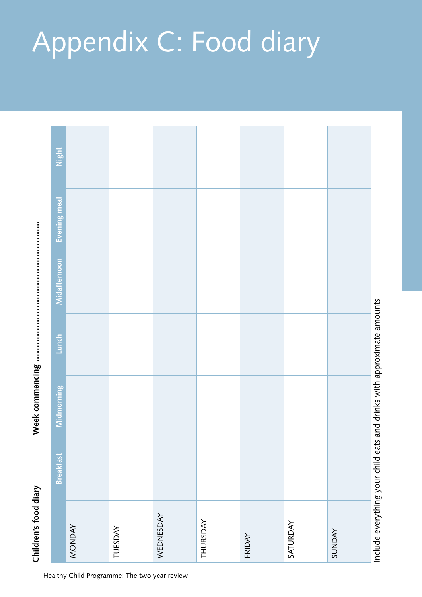# Appendix C: Food diary



Healthy Child Programme: The two year review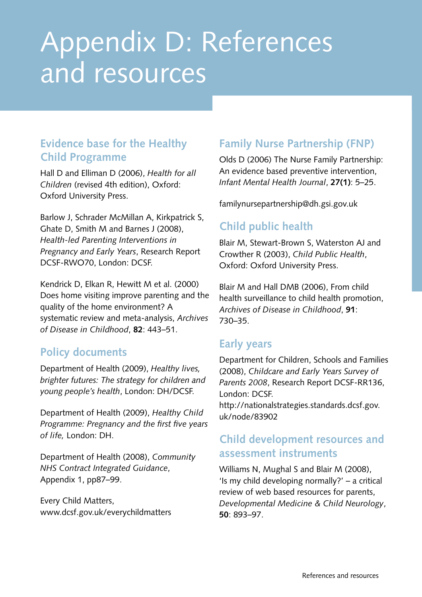# Appendix D: References and resources �

# **evidence base for the Healthy Child Programme**

Hall D and Elliman D (2006), *Health for all Children* (revised 4th edition), Oxford: Oxford University Press.

Barlow J, Schrader McMillan A, Kirkpatrick S, Ghate D, Smith M and Barnes J (2008), *Health-led Parenting Interventions in Pregnancy and Early Years*, Research Report DCSF-RWO70, London: DCSF.

Kendrick D, Elkan R, Hewitt M et al. (2000) Does home visiting improve parenting and the quality of the home environment? A systematic review and meta-analysis, *Archives of Disease in Childhood*, **82**: 443–51.

# **Policy documents**

 Department of Health (2009), *Healthy lives, brighter futures: The strategy for children and young people's health*, London: DH/DCSF.

Department of Health (2009), *Healthy Child Programme: Pregnancy and the first five years of life,* London: DH.

Department of Health (2008), *Community NHS Contract Integrated Guidance*, Appendix 1, pp87–99.

Every Child Matters, www.dcsf.gov.uk/everychildmatters

# **Family Nurse Partnership (FNP)**

Olds D (2006) The Nurse Family Partnership: An evidence based preventive intervention, *Infant Mental Health Journal*, **27(1)**: 5–25.

familynursepartnership@dh.gsi.gov.uk

# **Child public health**

Blair M, Stewart-Brown S, Waterston AJ and Crowther R (2003), *Child Public Health*, Oxford: Oxford University Press.

Blair M and Hall DMB (2006), From child health surveillance to child health promotion, *Archives of Disease in Childhood*, **91**: 730–35.

### **early years**

Department for Children, Schools and Families (2008), *Childcare and Early Years Survey of Parents 2008*, Research Report DCSF-RR136, London: DCSF.

http://nationalstrategies.standards.dcsf.gov. uk/node/83902

# **Child development resources and assessment instruments**

Williams N, Mughal S and Blair M (2008), 'Is my child developing normally?' – a critical review of web based resources for parents, *Developmental Medicine & Child Neurology*, **50**: 893–97.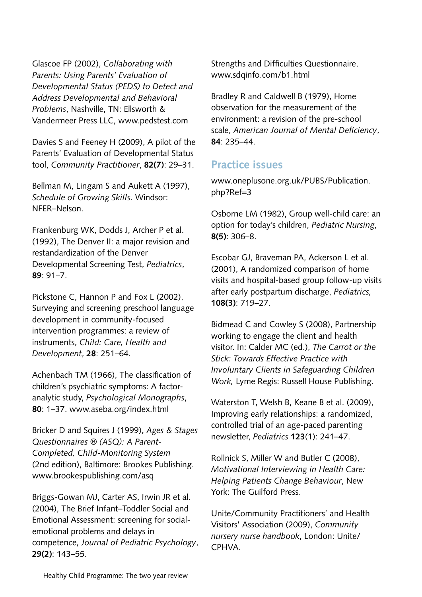Glascoe FP (2002), *Collaborating with Parents: Using Parents' Evaluation of Developmental Status (PEDS) to Detect and Address Developmental and Behavioral Problems*, Nashville, TN: Ellsworth & Vandermeer Press LLC, www.pedstest.com

Davies S and Feeney H (2009), A pilot of the Parents' Evaluation of Developmental Status tool, *Community Practitioner*, **82(7)**: 29–31.

Bellman M, Lingam S and Aukett A (1997), *Schedule of Growing Skills*. Windsor: NFER–Nelson.

Frankenburg WK, Dodds J, Archer P et al. (1992), The Denver II: a major revision and restandardization of the Denver Developmental Screening Test, *Pediatrics*, **89**: 91–7.

Pickstone C, Hannon P and Fox L (2002), Surveying and screening preschool language development in community-focused intervention programmes: a review of instruments, *Child: Care, Health and Development*, **28**: 251–64.

Achenbach TM (1966), The classification of children's psychiatric symptoms: A factoranalytic study, *Psychological Monographs*, **80**: 1–37. www.aseba.org/index.html

Bricker D and Squires J (1999), *Ages & Stages Questionnaires ® (ASQ): A Parent-Completed, Child-Monitoring System*  (2nd edition), Baltimore: Brookes Publishing. www.brookespublishing.com/asq

Briggs-Gowan MJ, Carter AS, Irwin JR et al. (2004), The Brief Infant–Toddler Social and Emotional Assessment: screening for socialemotional problems and delays in competence, *Journal of Pediatric Psychology*, **29(2)**: 143–55.

Strengths and Difficulties Questionnaire, www.sdqinfo.com/b1.html

Bradley R and Caldwell B (1979), Home observation for the measurement of the environment: a revision of the pre-school scale, *American Journal of Mental Deficiency*, **84**: 235–44.

### **Practice issues**

[www.oneplusone.org.uk/PUBS/Publication.](www.oneplusone.org.uk/PUBS/Publication.php?Ref=3)  [php?Ref=3](www.oneplusone.org.uk/PUBS/Publication.php?Ref=3)

Osborne LM (1982), Group well-child care: an option for today's children, *Pediatric Nursing*, **8(5)**: 306–8.

Escobar GJ, Braveman PA, Ackerson L et al. (2001), A randomized comparison of home visits and hospital-based group follow-up visits after early postpartum discharge, *Pediatrics,*  **108(3)**: 719–27.

Bidmead C and Cowley S (2008), Partnership working to engage the client and health visitor. In: Calder MC (ed.), *The Carrot or the Stick: Towards Effective Practice with Involuntary Clients in Safeguarding Children Work,* Lyme Regis: Russell House Publishing.

Waterston T, Welsh B, Keane B et al. (2009), Improving early relationships: a randomized, controlled trial of an age-paced parenting newsletter, *Pediatrics* **123**(1): 241–47.

Rollnick S, Miller W and Butler C (2008), *Motivational Interviewing in Health Care: Helping Patients Change Behaviour*, New York: The Guilford Press.

Unite/Community Practitioners' and Health Visitors' Association (2009), *Community nursery nurse handbook*, London: Unite/ CPHVA.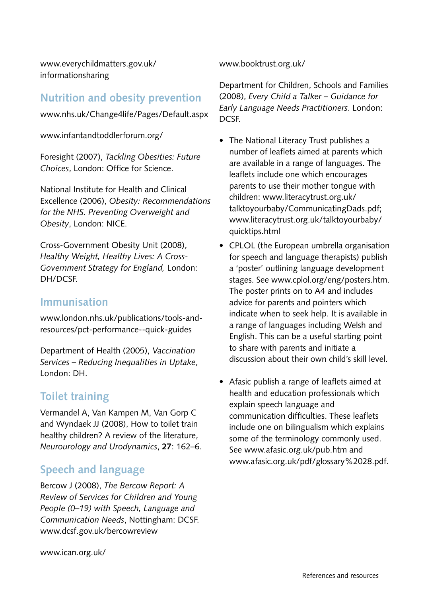[www.everychildmatters.gov.uk/](www.everychildmatters.gov.uk/informationsharing)  [informationsharing](www.everychildmatters.gov.uk/informationsharing)

## **nutrition and obesity prevention**

www.nhs.uk/Change4life/Pages/Default.aspx

www.infantandtoddlerforum.org/

Foresight (2007), *Tackling Obesities: Future Choices*, London: Office for Science.

National Institute for Health and Clinical Excellence (2006), *Obesity: Recommendations for the NHS. Preventing Overweight and Obesity*, London: NICE.

Cross-Government Obesity Unit (2008), *Healthy Weight, Healthy Lives: A Cross-Government Strategy for England,* London: DH/DCSF.

### **Immunisation**

[www.london.nhs.uk/publications/tools-and](www.london.nhs.uk/publications/tools-and-resources/pct-performance--quick-guides)[resources/pct-performance--quick-guides](www.london.nhs.uk/publications/tools-and-resources/pct-performance--quick-guides)

Department of Health (2005), *Vaccination Services – Reducing Inequalities in Uptake*, London: DH.

# **toilet training**

Vermandel A, Van Kampen M, Van Gorp C and Wyndaek JJ (2008), How to toilet train healthy children? A review of the literature, *Neurourology and Urodynamics*, **27**: 162–6.

# **Speech and language**

Bercow J (2008), *The Bercow Report: A Review of Services for Children and Young People (0–19) with Speech, Language and Communication Needs*, Nottingham: DCSF. www.dcsf.gov.uk/bercowreview

www.booktrust.org.uk/

Department for Children, Schools and Families (2008), *Every Child a Talker – Guidance for Early Language Needs Practitioners*. London: DCSF.

- The National Literacy Trust publishes a number of leaflets aimed at parents which are available in a range of languages. The leaflets include one which encourages parents to use their mother tongue with children: [www.literacytrust.org.uk/](www.literacytrust.org.uk/talktoyourbaby/CommunicatingDads.pdf)  [talktoyourbaby/CommunicatingDads.pdf;](www.literacytrust.org.uk/talktoyourbaby/CommunicatingDads.pdf) www.literacytrust.org.uk/talktoyourbaby/ quicktips.html
- stages. See www.cplol.org/eng/posters.htm. • CPLOL (the European umbrella organisation for speech and language therapists) publish a 'poster' outlining language development The poster prints on to A4 and includes advice for parents and pointers which indicate when to seek help. It is available in a range of languages including Welsh and English. This can be a useful starting point to share with parents and initiate a discussion about their own child's skill level.
- Afasic publish a range of leaflets aimed at health and education professionals which explain speech language and communication difficulties. These leaflets include one on bilingualism which explains some of the terminology commonly used. See www.afasic.org.uk/pub.htm and www.afasic.org.uk/pdf/glossary%2028.pdf.

www.ican.org.uk/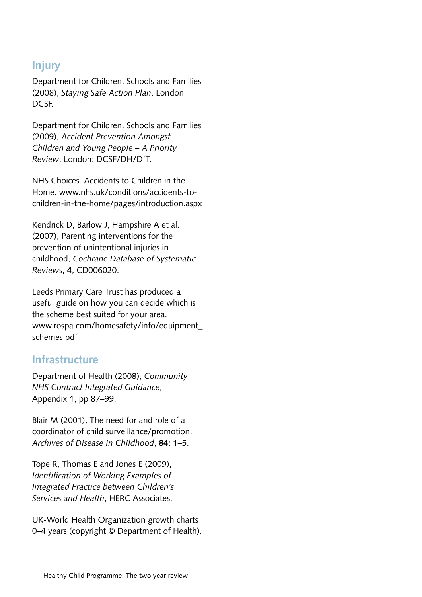### **Injury**

Department for Children, Schools and Families (2008), *Staying Safe Action Plan*. London: DCSF.

Department for Children, Schools and Families (2009), *Accident Prevention Amongst Children and Young People – A Priority Review*. London: DCSF/DH/DfT.

NHS Choices. Accidents to Children in the Home. [www.nhs.uk/conditions/accidents-to](www.nhs.uk/conditions/accidents-to-children-in-the-home/pages/introduction.aspx )[children-in-the-home/pages/introduction.aspx](www.nhs.uk/conditions/accidents-to-children-in-the-home/pages/introduction.aspx ) 

Kendrick D, Barlow J, Hampshire A et al. (2007), Parenting interventions for the prevention of unintentional injuries in childhood, *Cochrane Database of Systematic Reviews*, **4**, CD006020.

Leeds Primary Care Trust has produced a useful guide on how you can decide which is the scheme best suited for your area. www.rospa.com/homesafety/info/equipment\_ schemes.pdf

### **Infrastructure**

Department of Health (2008), *Community NHS Contract Integrated Guidance*, Appendix 1, pp 87–99.

Blair M (2001), The need for and role of a coordinator of child surveillance/promotion, *Archives of Disease in Childhood*, **84**: 1–5.

Tope R, Thomas E and Jones E (2009), *Identification of Working Examples of Integrated Practice between Children's Services and Health*, HERC Associates.

 0–4 years (copyright © Department of Health). UK-World Health Organization growth charts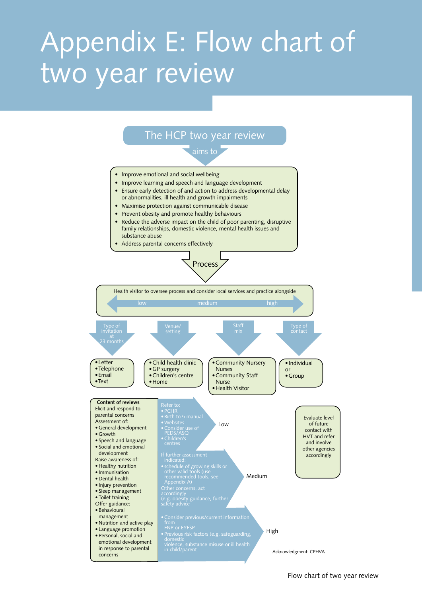# Appendix E: Flow chart of two year review

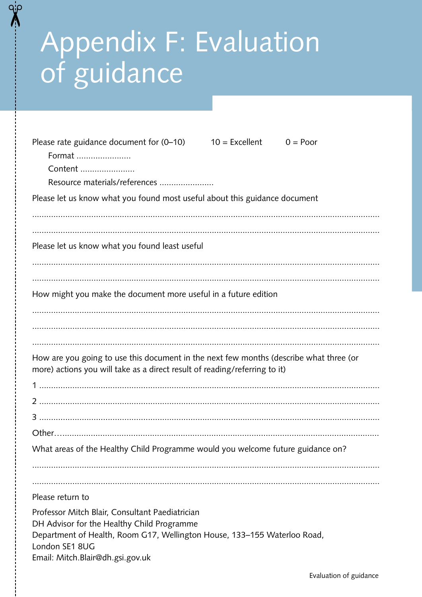# Appendix F: Evaluation

 $\frac{q}{\lambda}$ 

| Please rate guidance document for (0-10)<br>Format<br>Content<br>Resource materials/references                                                                                              | $10$ = Excellent | $0 = \text{Poor}$ |
|---------------------------------------------------------------------------------------------------------------------------------------------------------------------------------------------|------------------|-------------------|
| Please let us know what you found most useful about this guidance document                                                                                                                  |                  |                   |
|                                                                                                                                                                                             |                  |                   |
| Please let us know what you found least useful                                                                                                                                              |                  |                   |
|                                                                                                                                                                                             |                  |                   |
| How might you make the document more useful in a future edition                                                                                                                             |                  |                   |
|                                                                                                                                                                                             |                  |                   |
| How are you going to use this document in the next few months (describe what three (or<br>more) actions you will take as a direct result of reading/referring to it)                        |                  |                   |
|                                                                                                                                                                                             |                  |                   |
|                                                                                                                                                                                             |                  |                   |
|                                                                                                                                                                                             |                  |                   |
| What areas of the Healthy Child Programme would you welcome future guidance on?                                                                                                             |                  |                   |
|                                                                                                                                                                                             |                  |                   |
| Please return to                                                                                                                                                                            |                  |                   |
| Professor Mitch Blair, Consultant Paediatrician<br>DH Advisor for the Healthy Child Programme<br>Department of Health, Room G17, Wellington House, 133-155 Waterloo Road,<br>London SE1 8UG |                  |                   |